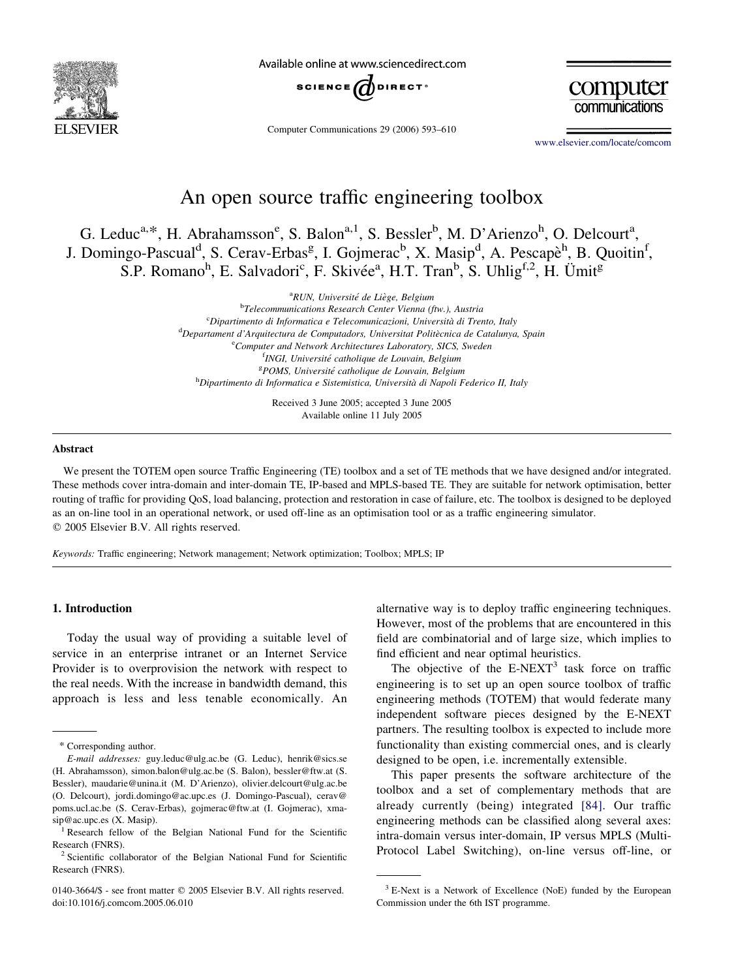

Available online at www.sciencedirect.com



Computer Communications 29 (2006) 593–610

computer communications

[www.elsevier.com/locate/comcom](http://www.elsevier.com/locate/comcom)

# An open source traffic engineering toolbox

G. Leduc<sup>a,\*</sup>, H. Abrahamsson<sup>e</sup>, S. Balon<sup>a,1</sup>, S. Bessler<sup>b</sup>, M. D'Arienzo<sup>h</sup>, O. Delcourt<sup>a</sup>, J. Domingo-Pascual<sup>d</sup>, S. Cerav-Erbas<sup>g</sup>, I. Gojmerac<sup>b</sup>, X. Masip<sup>d</sup>, A. Pescapè<sup>h</sup>, B. Quoitin<sup>f</sup>, S.P. Romano<sup>h</sup>, E. Salvadori<sup>c</sup>, F. Skivée<sup>a</sup>, H.T. Tran<sup>b</sup>, S. Uhlig<sup>f,2</sup>, H. Ümit<sup>g</sup>

> <sup>a</sup>RUN, Université de Liège, Belgium <sup>b</sup>Telecommunications Research Center Vienna (ftw.), Austria <sup>c</sup>Dipartimento di Informatica e Telecomunicazioni, Università di Trento, Italy <sup>d</sup>Departament d'Arquitectura de Computadors, Universitat Politècnica de Catalunya, Spain <sup>e</sup> Computer and Network Architectures Laboratory, SICS, Sweden <sup>f</sup>INGI, Université catholique de Louvain, Belgium <sup>g</sup>POMS, Université catholique de Louvain, Belgium <sup>h</sup>Dipartimento di Informatica e Sistemistica, Università di Napoli Federico II, Italy

> > Received 3 June 2005; accepted 3 June 2005 Available online 11 July 2005

#### Abstract

We present the TOTEM open source Traffic Engineering (TE) toolbox and a set of TE methods that we have designed and/or integrated. These methods cover intra-domain and inter-domain TE, IP-based and MPLS-based TE. They are suitable for network optimisation, better routing of traffic for providing QoS, load balancing, protection and restoration in case of failure, etc. The toolbox is designed to be deployed as an on-line tool in an operational network, or used off-line as an optimisation tool or as a traffic engineering simulator.  $© 2005 Elsevier B.V. All rights reserved.$ 

Keywords: Traffic engineering; Network management; Network optimization; Toolbox; MPLS; IP

# 1. Introduction

Today the usual way of providing a suitable level of service in an enterprise intranet or an Internet Service Provider is to overprovision the network with respect to the real needs. With the increase in bandwidth demand, this approach is less and less tenable economically. An

alternative way is to deploy traffic engineering techniques. However, most of the problems that are encountered in this field are combinatorial and of large size, which implies to find efficient and near optimal heuristics.

The objective of the  $E-NEXT<sup>3</sup>$  task force on traffic engineering is to set up an open source toolbox of traffic engineering methods (TOTEM) that would federate many independent software pieces designed by the E-NEXT partners. The resulting toolbox is expected to include more functionality than existing commercial ones, and is clearly designed to be open, i.e. incrementally extensible.

This paper presents the software architecture of the toolbox and a set of complementary methods that are already currently (being) integrated [\[84\].](#page-17-0) Our traffic engineering methods can be classified along several axes: intra-domain versus inter-domain, IP versus MPLS (Multi-Protocol Label Switching), on-line versus off-line, or

<sup>\*</sup> Corresponding author.

E-mail addresses: guy.leduc@ulg.ac.be (G. Leduc), henrik@sics.se (H. Abrahamsson), simon.balon@ulg.ac.be (S. Balon), bessler@ftw.at (S. Bessler), maudarie@unina.it (M. D'Arienzo), olivier.delcourt@ulg.ac.be (O. Delcourt), jordi.domingo@ac.upc.es (J. Domingo-Pascual), cerav@ poms.ucl.ac.be (S. Cerav-Erbas), gojmerac@ftw.at (I. Gojmerac), xmasip@ac.upc.es (X. Masip).<br><sup>1</sup> Research fellow of the Belgian National Fund for the Scientific

Research (FNRS).

<sup>&</sup>lt;sup>2</sup> Scientific collaborator of the Belgian National Fund for Scientific Research (FNRS).

<sup>0140-3664/\$ -</sup> see front matter © 2005 Elsevier B.V. All rights reserved. doi:10.1016/j.comcom.2005.06.010

<sup>&</sup>lt;sup>3</sup> E-Next is a Network of Excellence (NoE) funded by the European Commission under the 6th IST programme.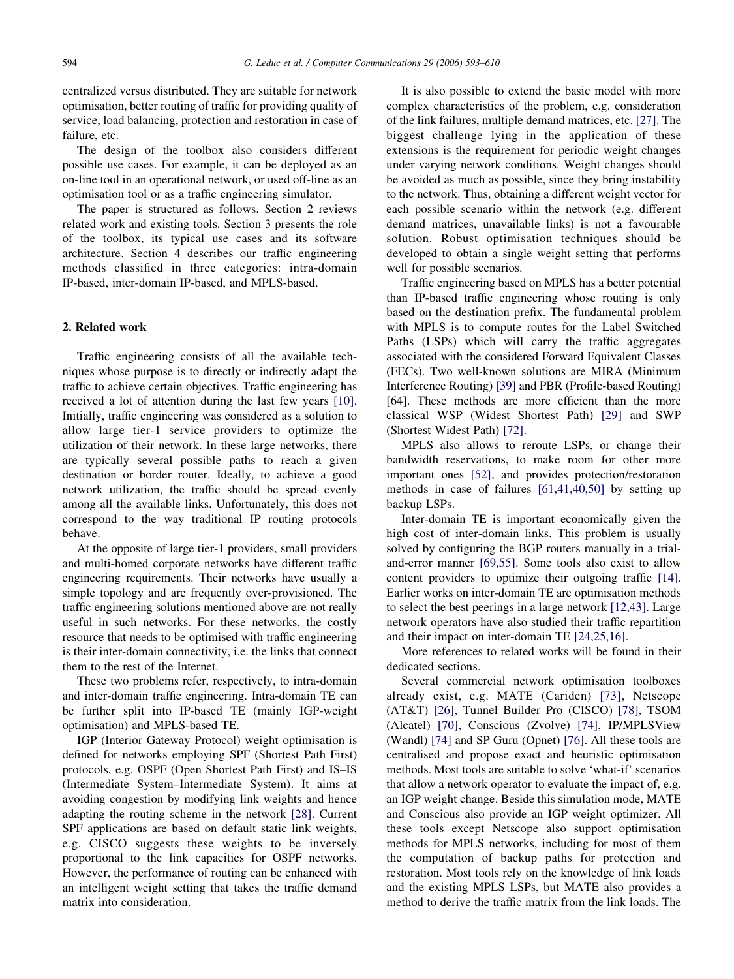centralized versus distributed. They are suitable for network optimisation, better routing of traffic for providing quality of service, load balancing, protection and restoration in case of failure, etc.

The design of the toolbox also considers different possible use cases. For example, it can be deployed as an on-line tool in an operational network, or used off-line as an optimisation tool or as a traffic engineering simulator.

The paper is structured as follows. Section 2 reviews related work and existing tools. Section 3 presents the role of the toolbox, its typical use cases and its software architecture. Section 4 describes our traffic engineering methods classified in three categories: intra-domain IP-based, inter-domain IP-based, and MPLS-based.

# 2. Related work

Traffic engineering consists of all the available techniques whose purpose is to directly or indirectly adapt the traffic to achieve certain objectives. Traffic engineering has received a lot of attention during the last few years [\[10\]](#page-15-0). Initially, traffic engineering was considered as a solution to allow large tier-1 service providers to optimize the utilization of their network. In these large networks, there are typically several possible paths to reach a given destination or border router. Ideally, to achieve a good network utilization, the traffic should be spread evenly among all the available links. Unfortunately, this does not correspond to the way traditional IP routing protocols behave.

At the opposite of large tier-1 providers, small providers and multi-homed corporate networks have different traffic engineering requirements. Their networks have usually a simple topology and are frequently over-provisioned. The traffic engineering solutions mentioned above are not really useful in such networks. For these networks, the costly resource that needs to be optimised with traffic engineering is their inter-domain connectivity, i.e. the links that connect them to the rest of the Internet.

These two problems refer, respectively, to intra-domain and inter-domain traffic engineering. Intra-domain TE can be further split into IP-based TE (mainly IGP-weight optimisation) and MPLS-based TE.

IGP (Interior Gateway Protocol) weight optimisation is defined for networks employing SPF (Shortest Path First) protocols, e.g. OSPF (Open Shortest Path First) and IS–IS (Intermediate System–Intermediate System). It aims at avoiding congestion by modifying link weights and hence adapting the routing scheme in the network [\[28\].](#page-16-0) Current SPF applications are based on default static link weights, e.g. CISCO suggests these weights to be inversely proportional to the link capacities for OSPF networks. However, the performance of routing can be enhanced with an intelligent weight setting that takes the traffic demand matrix into consideration.

It is also possible to extend the basic model with more complex characteristics of the problem, e.g. consideration of the link failures, multiple demand matrices, etc. [\[27\]](#page-16-0). The biggest challenge lying in the application of these extensions is the requirement for periodic weight changes under varying network conditions. Weight changes should be avoided as much as possible, since they bring instability to the network. Thus, obtaining a different weight vector for each possible scenario within the network (e.g. different demand matrices, unavailable links) is not a favourable solution. Robust optimisation techniques should be developed to obtain a single weight setting that performs well for possible scenarios.

Traffic engineering based on MPLS has a better potential than IP-based traffic engineering whose routing is only based on the destination prefix. The fundamental problem with MPLS is to compute routes for the Label Switched Paths (LSPs) which will carry the traffic aggregates associated with the considered Forward Equivalent Classes (FECs). Two well-known solutions are MIRA (Minimum Interference Routing) [\[39\]](#page-16-0) and PBR (Profile-based Routing) [64]. These methods are more efficient than the more classical WSP (Widest Shortest Path) [\[29\]](#page-16-0) and SWP (Shortest Widest Path) [\[72\].](#page-17-0)

MPLS also allows to reroute LSPs, or change their bandwidth reservations, to make room for other more important ones [\[52\],](#page-16-0) and provides protection/restoration methods in case of failures [\[61,41,40,50\]](#page-16-0) by setting up backup LSPs.

Inter-domain TE is important economically given the high cost of inter-domain links. This problem is usually solved by configuring the BGP routers manually in a trialand-error manner [\[69,55\]](#page-16-0). Some tools also exist to allow content providers to optimize their outgoing traffic [\[14\]](#page-15-0). Earlier works on inter-domain TE are optimisation methods to select the best peerings in a large network [\[12,43\]](#page-15-0). Large network operators have also studied their traffic repartition and their impact on inter-domain TE [\[24,25,16\]](#page-15-0).

More references to related works will be found in their dedicated sections.

Several commercial network optimisation toolboxes already exist, e.g. MATE (Cariden) [\[73\]](#page-17-0), Netscope (AT&T) [\[26\],](#page-15-0) Tunnel Builder Pro (CISCO) [\[78\]](#page-17-0), TSOM (Alcatel) [\[70\],](#page-17-0) Conscious (Zvolve) [\[74\]](#page-17-0), IP/MPLSView (Wandl) [\[74\]](#page-17-0) and SP Guru (Opnet) [\[76\]](#page-17-0). All these tools are centralised and propose exact and heuristic optimisation methods. Most tools are suitable to solve 'what-if' scenarios that allow a network operator to evaluate the impact of, e.g. an IGP weight change. Beside this simulation mode, MATE and Conscious also provide an IGP weight optimizer. All these tools except Netscope also support optimisation methods for MPLS networks, including for most of them the computation of backup paths for protection and restoration. Most tools rely on the knowledge of link loads and the existing MPLS LSPs, but MATE also provides a method to derive the traffic matrix from the link loads. The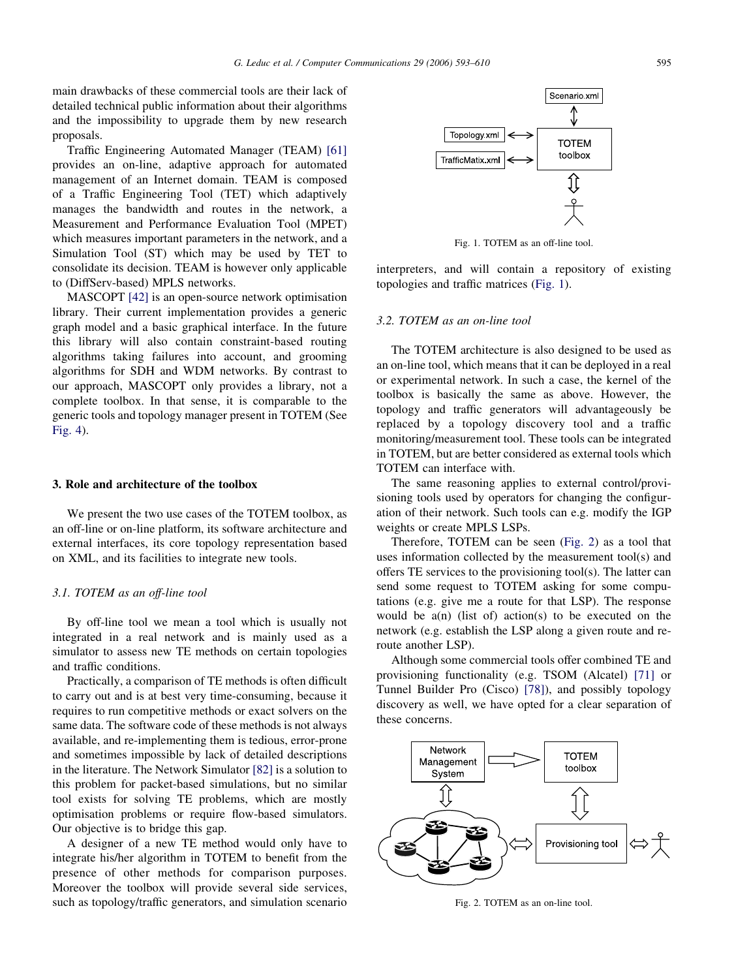<span id="page-2-0"></span>main drawbacks of these commercial tools are their lack of detailed technical public information about their algorithms and the impossibility to upgrade them by new research proposals.

Traffic Engineering Automated Manager (TEAM) [\[61\]](#page-16-0) provides an on-line, adaptive approach for automated management of an Internet domain. TEAM is composed of a Traffic Engineering Tool (TET) which adaptively manages the bandwidth and routes in the network, a Measurement and Performance Evaluation Tool (MPET) which measures important parameters in the network, and a Simulation Tool (ST) which may be used by TET to consolidate its decision. TEAM is however only applicable to (DiffServ-based) MPLS networks.

MASCOPT [\[42\]](#page-16-0) is an open-source network optimisation library. Their current implementation provides a generic graph model and a basic graphical interface. In the future this library will also contain constraint-based routing algorithms taking failures into account, and grooming algorithms for SDH and WDM networks. By contrast to our approach, MASCOPT only provides a library, not a complete toolbox. In that sense, it is comparable to the generic tools and topology manager present in TOTEM (See [Fig. 4](#page-4-0)).

#### 3. Role and architecture of the toolbox

We present the two use cases of the TOTEM toolbox, as an off-line or on-line platform, its software architecture and external interfaces, its core topology representation based on XML, and its facilities to integrate new tools.

#### 3.1. TOTEM as an off-line tool

By off-line tool we mean a tool which is usually not integrated in a real network and is mainly used as a simulator to assess new TE methods on certain topologies and traffic conditions.

Practically, a comparison of TE methods is often difficult to carry out and is at best very time-consuming, because it requires to run competitive methods or exact solvers on the same data. The software code of these methods is not always available, and re-implementing them is tedious, error-prone and sometimes impossible by lack of detailed descriptions in the literature. The Network Simulator [\[82\]](#page-17-0) is a solution to this problem for packet-based simulations, but no similar tool exists for solving TE problems, which are mostly optimisation problems or require flow-based simulators. Our objective is to bridge this gap.

A designer of a new TE method would only have to integrate his/her algorithm in TOTEM to benefit from the presence of other methods for comparison purposes. Moreover the toolbox will provide several side services, such as topology/traffic generators, and simulation scenario



Fig. 1. TOTEM as an off-line tool.

interpreters, and will contain a repository of existing topologies and traffic matrices (Fig. 1).

# 3.2. TOTEM as an on-line tool

The TOTEM architecture is also designed to be used as an on-line tool, which means that it can be deployed in a real or experimental network. In such a case, the kernel of the toolbox is basically the same as above. However, the topology and traffic generators will advantageously be replaced by a topology discovery tool and a traffic monitoring/measurement tool. These tools can be integrated in TOTEM, but are better considered as external tools which TOTEM can interface with.

The same reasoning applies to external control/provisioning tools used by operators for changing the configuration of their network. Such tools can e.g. modify the IGP weights or create MPLS LSPs.

Therefore, TOTEM can be seen (Fig. 2) as a tool that uses information collected by the measurement tool(s) and offers TE services to the provisioning tool(s). The latter can send some request to TOTEM asking for some computations (e.g. give me a route for that LSP). The response would be  $a(n)$  (list of) action(s) to be executed on the network (e.g. establish the LSP along a given route and reroute another LSP).

Although some commercial tools offer combined TE and provisioning functionality (e.g. TSOM (Alcatel) [\[71\]](#page-17-0) or Tunnel Builder Pro (Cisco) [\[78\]\)](#page-17-0), and possibly topology discovery as well, we have opted for a clear separation of these concerns.



Fig. 2. TOTEM as an on-line tool.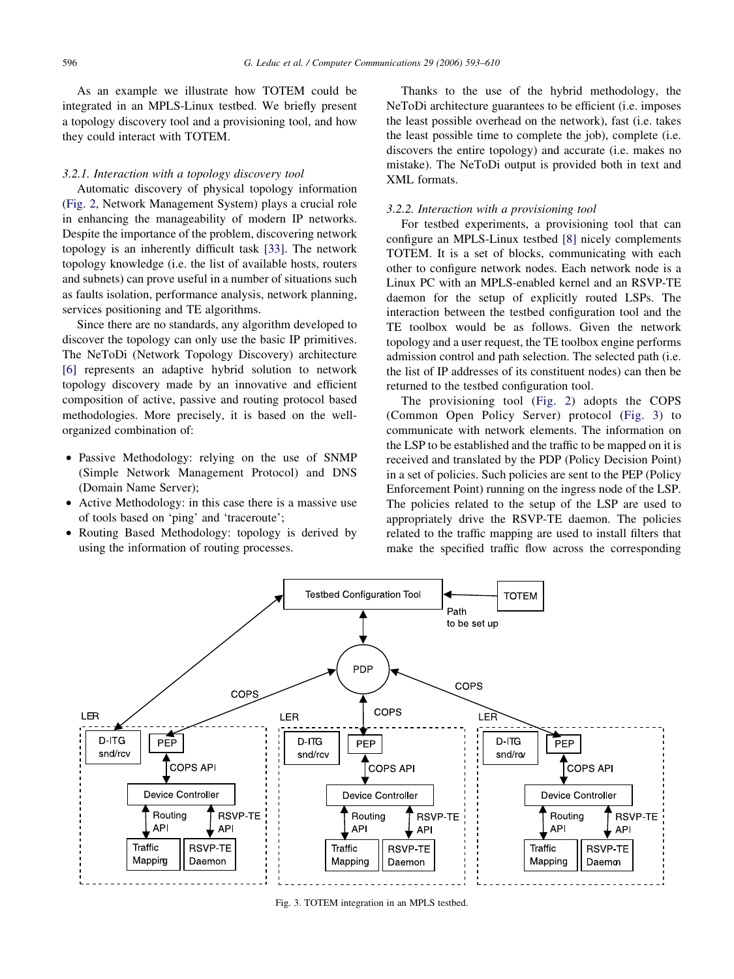As an example we illustrate how TOTEM could be integrated in an MPLS-Linux testbed. We briefly present a topology discovery tool and a provisioning tool, and how they could interact with TOTEM.

## 3.2.1. Interaction with a topology discovery tool

Automatic discovery of physical topology information ([Fig. 2,](#page-2-0) Network Management System) plays a crucial role in enhancing the manageability of modern IP networks. Despite the importance of the problem, discovering network topology is an inherently difficult task [\[33\].](#page-16-0) The network topology knowledge (i.e. the list of available hosts, routers and subnets) can prove useful in a number of situations such as faults isolation, performance analysis, network planning, services positioning and TE algorithms.

Since there are no standards, any algorithm developed to discover the topology can only use the basic IP primitives. The NeToDi (Network Topology Discovery) architecture [\[6\]](#page-15-0) represents an adaptive hybrid solution to network topology discovery made by an innovative and efficient composition of active, passive and routing protocol based methodologies. More precisely, it is based on the wellorganized combination of:

- Passive Methodology: relying on the use of SNMP (Simple Network Management Protocol) and DNS (Domain Name Server);
- Active Methodology: in this case there is a massive use of tools based on 'ping' and 'traceroute';
- † Routing Based Methodology: topology is derived by using the information of routing processes.

Thanks to the use of the hybrid methodology, the NeToDi architecture guarantees to be efficient (i.e. imposes the least possible overhead on the network), fast (i.e. takes the least possible time to complete the job), complete (i.e. discovers the entire topology) and accurate (i.e. makes no mistake). The NeToDi output is provided both in text and XML formats.

## 3.2.2. Interaction with a provisioning tool

For testbed experiments, a provisioning tool that can configure an MPLS-Linux testbed [\[8\]](#page-15-0) nicely complements TOTEM. It is a set of blocks, communicating with each other to configure network nodes. Each network node is a Linux PC with an MPLS-enabled kernel and an RSVP-TE daemon for the setup of explicitly routed LSPs. The interaction between the testbed configuration tool and the TE toolbox would be as follows. Given the network topology and a user request, the TE toolbox engine performs admission control and path selection. The selected path (i.e. the list of IP addresses of its constituent nodes) can then be returned to the testbed configuration tool.

The provisioning tool ([Fig. 2\)](#page-2-0) adopts the COPS (Common Open Policy Server) protocol (Fig. 3) to communicate with network elements. The information on the LSP to be established and the traffic to be mapped on it is received and translated by the PDP (Policy Decision Point) in a set of policies. Such policies are sent to the PEP (Policy Enforcement Point) running on the ingress node of the LSP. The policies related to the setup of the LSP are used to appropriately drive the RSVP-TE daemon. The policies related to the traffic mapping are used to install filters that make the specified traffic flow across the corresponding



Fig. 3. TOTEM integration in an MPLS testbed.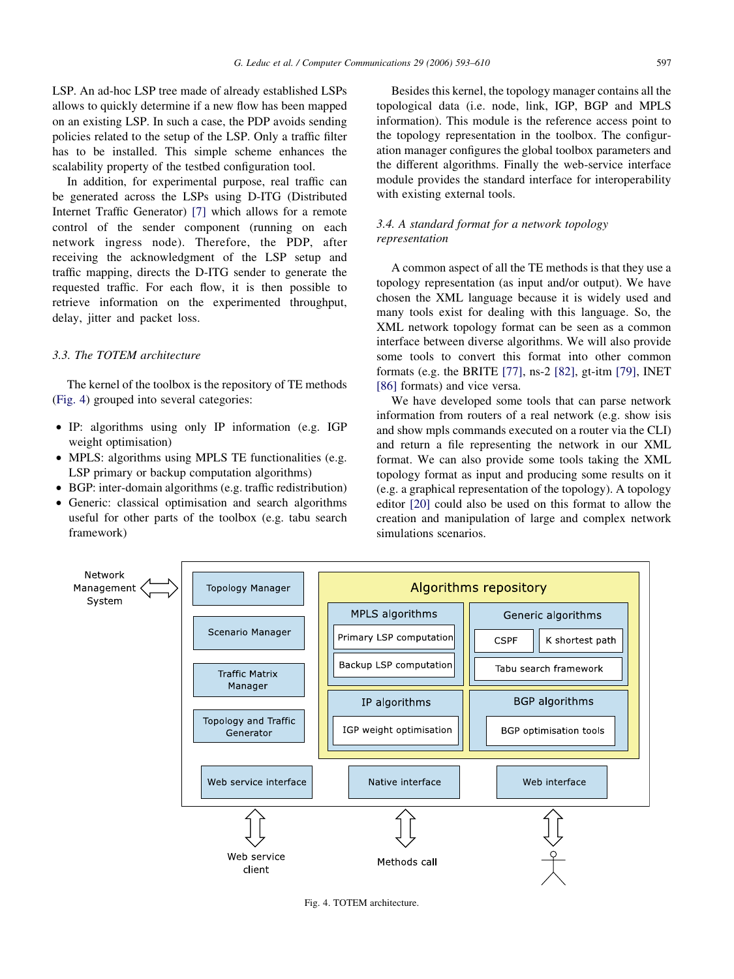<span id="page-4-0"></span>LSP. An ad-hoc LSP tree made of already established LSPs allows to quickly determine if a new flow has been mapped on an existing LSP. In such a case, the PDP avoids sending policies related to the setup of the LSP. Only a traffic filter has to be installed. This simple scheme enhances the scalability property of the testbed configuration tool.

In addition, for experimental purpose, real traffic can be generated across the LSPs using D-ITG (Distributed Internet Traffic Generator) [\[7\]](#page-15-0) which allows for a remote control of the sender component (running on each network ingress node). Therefore, the PDP, after receiving the acknowledgment of the LSP setup and traffic mapping, directs the D-ITG sender to generate the requested traffic. For each flow, it is then possible to retrieve information on the experimented throughput, delay, jitter and packet loss.

# 3.3. The TOTEM architecture

The kernel of the toolbox is the repository of TE methods (Fig. 4) grouped into several categories:

- † IP: algorithms using only IP information (e.g. IGP weight optimisation)
- MPLS: algorithms using MPLS TE functionalities (e.g. LSP primary or backup computation algorithms)
- BGP: inter-domain algorithms (e.g. traffic redistribution)
- Generic: classical optimisation and search algorithms useful for other parts of the toolbox (e.g. tabu search framework)

Besides this kernel, the topology manager contains all the topological data (i.e. node, link, IGP, BGP and MPLS information). This module is the reference access point to the topology representation in the toolbox. The configuration manager configures the global toolbox parameters and the different algorithms. Finally the web-service interface module provides the standard interface for interoperability with existing external tools.

# 3.4. A standard format for a network topology representation

A common aspect of all the TE methods is that they use a topology representation (as input and/or output). We have chosen the XML language because it is widely used and many tools exist for dealing with this language. So, the XML network topology format can be seen as a common interface between diverse algorithms. We will also provide some tools to convert this format into other common formats (e.g. the BRITE [\[77\]](#page-17-0), ns-2 [\[82\]](#page-17-0), gt-itm [\[79\]](#page-17-0), INET [\[86\]](#page-17-0) formats) and vice versa.

We have developed some tools that can parse network information from routers of a real network (e.g. show isis and show mpls commands executed on a router via the CLI) and return a file representing the network in our XML format. We can also provide some tools taking the XML topology format as input and producing some results on it (e.g. a graphical representation of the topology). A topology editor [\[20\]](#page-15-0) could also be used on this format to allow the creation and manipulation of large and complex network simulations scenarios.



Fig. 4. TOTEM architecture.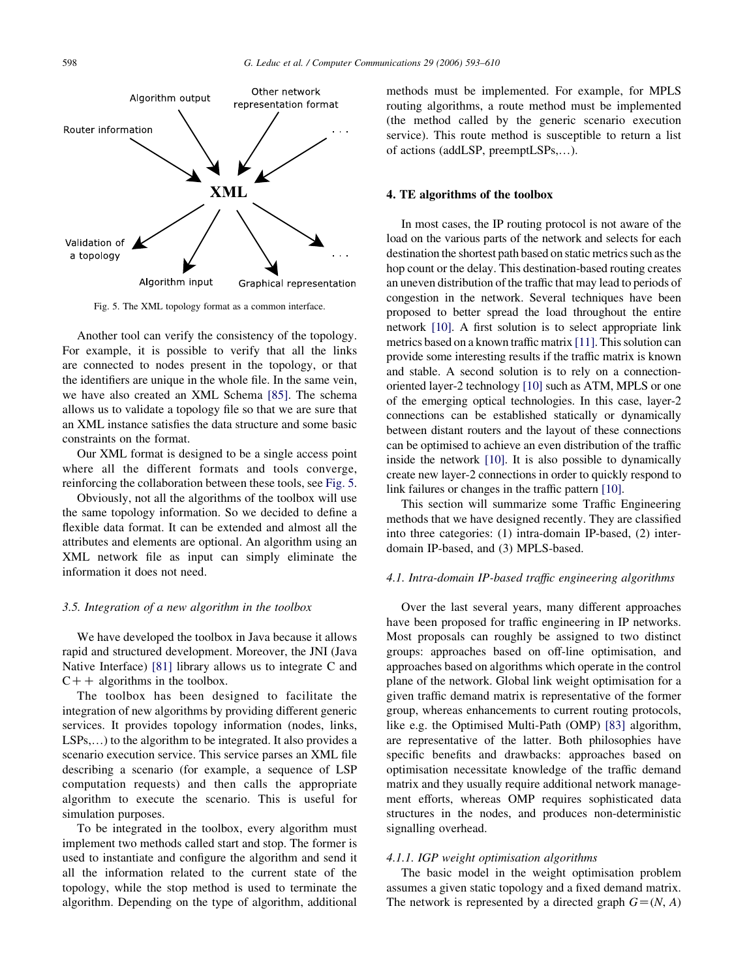

Fig. 5. The XML topology format as a common interface.

Another tool can verify the consistency of the topology. For example, it is possible to verify that all the links are connected to nodes present in the topology, or that the identifiers are unique in the whole file. In the same vein, we have also created an XML Schema [\[85\].](#page-17-0) The schema allows us to validate a topology file so that we are sure that an XML instance satisfies the data structure and some basic constraints on the format.

Our XML format is designed to be a single access point where all the different formats and tools converge, reinforcing the collaboration between these tools, see Fig. 5.

Obviously, not all the algorithms of the toolbox will use the same topology information. So we decided to define a flexible data format. It can be extended and almost all the attributes and elements are optional. An algorithm using an XML network file as input can simply eliminate the information it does not need.

## 3.5. Integration of a new algorithm in the toolbox

We have developed the toolbox in Java because it allows rapid and structured development. Moreover, the JNI (Java Native Interface) [\[81\]](#page-17-0) library allows us to integrate C and  $C++$  algorithms in the toolbox.

The toolbox has been designed to facilitate the integration of new algorithms by providing different generic services. It provides topology information (nodes, links,  $LSPs$ ,...) to the algorithm to be integrated. It also provides a scenario execution service. This service parses an XML file describing a scenario (for example, a sequence of LSP computation requests) and then calls the appropriate algorithm to execute the scenario. This is useful for simulation purposes.

To be integrated in the toolbox, every algorithm must implement two methods called start and stop. The former is used to instantiate and configure the algorithm and send it all the information related to the current state of the topology, while the stop method is used to terminate the algorithm. Depending on the type of algorithm, additional

methods must be implemented. For example, for MPLS routing algorithms, a route method must be implemented (the method called by the generic scenario execution service). This route method is susceptible to return a list of actions (addLSP, preemptLSPs,.).

## 4. TE algorithms of the toolbox

In most cases, the IP routing protocol is not aware of the load on the various parts of the network and selects for each destination the shortest path based on static metrics such as the hop count or the delay. This destination-based routing creates an uneven distribution of the traffic that may lead to periods of congestion in the network. Several techniques have been proposed to better spread the load throughout the entire network [\[10\]](#page-15-0). A first solution is to select appropriate link metrics based on a known traffic matrix [\[11\].](#page-15-0) This solution can provide some interesting results if the traffic matrix is known and stable. A second solution is to rely on a connectionoriented layer-2 technology [\[10\]](#page-15-0) such as ATM, MPLS or one of the emerging optical technologies. In this case, layer-2 connections can be established statically or dynamically between distant routers and the layout of these connections can be optimised to achieve an even distribution of the traffic inside the network [\[10\]](#page-15-0). It is also possible to dynamically create new layer-2 connections in order to quickly respond to link failures or changes in the traffic pattern [\[10\]](#page-15-0).

This section will summarize some Traffic Engineering methods that we have designed recently. They are classified into three categories: (1) intra-domain IP-based, (2) interdomain IP-based, and (3) MPLS-based.

## 4.1. Intra-domain IP-based traffic engineering algorithms

Over the last several years, many different approaches have been proposed for traffic engineering in IP networks. Most proposals can roughly be assigned to two distinct groups: approaches based on off-line optimisation, and approaches based on algorithms which operate in the control plane of the network. Global link weight optimisation for a given traffic demand matrix is representative of the former group, whereas enhancements to current routing protocols, like e.g. the Optimised Multi-Path (OMP) [\[83\]](#page-17-0) algorithm, are representative of the latter. Both philosophies have specific benefits and drawbacks: approaches based on optimisation necessitate knowledge of the traffic demand matrix and they usually require additional network management efforts, whereas OMP requires sophisticated data structures in the nodes, and produces non-deterministic signalling overhead.

#### 4.1.1. IGP weight optimisation algorithms

The basic model in the weight optimisation problem assumes a given static topology and a fixed demand matrix. The network is represented by a directed graph  $G=(N, A)$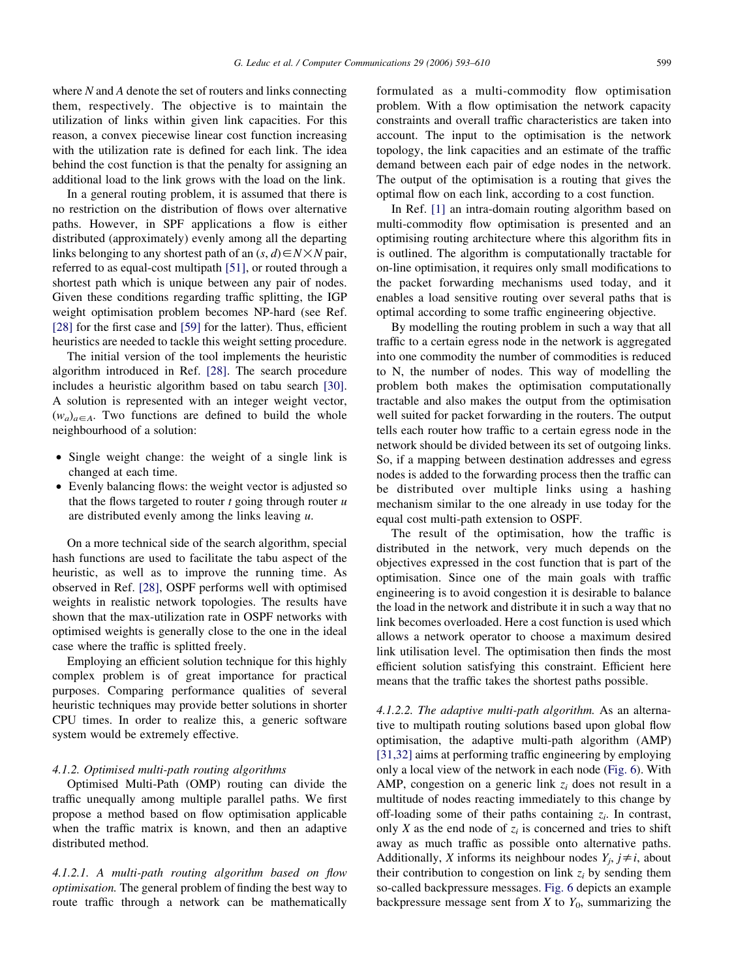where N and A denote the set of routers and links connecting them, respectively. The objective is to maintain the utilization of links within given link capacities. For this reason, a convex piecewise linear cost function increasing with the utilization rate is defined for each link. The idea behind the cost function is that the penalty for assigning an additional load to the link grows with the load on the link.

In a general routing problem, it is assumed that there is no restriction on the distribution of flows over alternative paths. However, in SPF applications a flow is either distributed (approximately) evenly among all the departing links belonging to any shortest path of an  $(s, d) \in N \times N$  pair, referred to as equal-cost multipath [\[51\]](#page-16-0), or routed through a shortest path which is unique between any pair of nodes. Given these conditions regarding traffic splitting, the IGP weight optimisation problem becomes NP-hard (see Ref. [\[28\]](#page-16-0) for the first case and [\[59\]](#page-16-0) for the latter). Thus, efficient heuristics are needed to tackle this weight setting procedure.

The initial version of the tool implements the heuristic algorithm introduced in Ref. [\[28\]](#page-16-0). The search procedure includes a heuristic algorithm based on tabu search [\[30\]](#page-16-0). A solution is represented with an integer weight vector,  $(w_a)_{a \in A}$ . Two functions are defined to build the whole neighbourhood of a solution:

- Single weight change: the weight of a single link is changed at each time.
- Evenly balancing flows: the weight vector is adjusted so that the flows targeted to router  $t$  going through router  $u$ are distributed evenly among the links leaving  $u$ .

On a more technical side of the search algorithm, special hash functions are used to facilitate the tabu aspect of the heuristic, as well as to improve the running time. As observed in Ref. [\[28\]](#page-16-0), OSPF performs well with optimised weights in realistic network topologies. The results have shown that the max-utilization rate in OSPF networks with optimised weights is generally close to the one in the ideal case where the traffic is splitted freely.

Employing an efficient solution technique for this highly complex problem is of great importance for practical purposes. Comparing performance qualities of several heuristic techniques may provide better solutions in shorter CPU times. In order to realize this, a generic software system would be extremely effective.

## 4.1.2. Optimised multi-path routing algorithms

Optimised Multi-Path (OMP) routing can divide the traffic unequally among multiple parallel paths. We first propose a method based on flow optimisation applicable when the traffic matrix is known, and then an adaptive distributed method.

4.1.2.1. A multi-path routing algorithm based on flow optimisation. The general problem of finding the best way to route traffic through a network can be mathematically

formulated as a multi-commodity flow optimisation problem. With a flow optimisation the network capacity constraints and overall traffic characteristics are taken into account. The input to the optimisation is the network topology, the link capacities and an estimate of the traffic demand between each pair of edge nodes in the network. The output of the optimisation is a routing that gives the optimal flow on each link, according to a cost function.

In Ref. [\[1\]](#page-15-0) an intra-domain routing algorithm based on multi-commodity flow optimisation is presented and an optimising routing architecture where this algorithm fits in is outlined. The algorithm is computationally tractable for on-line optimisation, it requires only small modifications to the packet forwarding mechanisms used today, and it enables a load sensitive routing over several paths that is optimal according to some traffic engineering objective.

By modelling the routing problem in such a way that all traffic to a certain egress node in the network is aggregated into one commodity the number of commodities is reduced to N, the number of nodes. This way of modelling the problem both makes the optimisation computationally tractable and also makes the output from the optimisation well suited for packet forwarding in the routers. The output tells each router how traffic to a certain egress node in the network should be divided between its set of outgoing links. So, if a mapping between destination addresses and egress nodes is added to the forwarding process then the traffic can be distributed over multiple links using a hashing mechanism similar to the one already in use today for the equal cost multi-path extension to OSPF.

The result of the optimisation, how the traffic is distributed in the network, very much depends on the objectives expressed in the cost function that is part of the optimisation. Since one of the main goals with traffic engineering is to avoid congestion it is desirable to balance the load in the network and distribute it in such a way that no link becomes overloaded. Here a cost function is used which allows a network operator to choose a maximum desired link utilisation level. The optimisation then finds the most efficient solution satisfying this constraint. Efficient here means that the traffic takes the shortest paths possible.

4.1.2.2. The adaptive multi-path algorithm. As an alternative to multipath routing solutions based upon global flow optimisation, the adaptive multi-path algorithm (AMP) [\[31,32\]](#page-16-0) aims at performing traffic engineering by employing only a local view of the network in each node [\(Fig. 6](#page-7-0)). With AMP, congestion on a generic link  $z_i$  does not result in a multitude of nodes reacting immediately to this change by off-loading some of their paths containing  $z_i$ . In contrast, only X as the end node of  $z_i$  is concerned and tries to shift away as much traffic as possible onto alternative paths. Additionally, X informs its neighbour nodes  $Y_j$ ,  $j \neq i$ , about their contribution to congestion on link  $z_i$  by sending them so-called backpressure messages. [Fig. 6](#page-7-0) depicts an example backpressure message sent from  $X$  to  $Y_0$ , summarizing the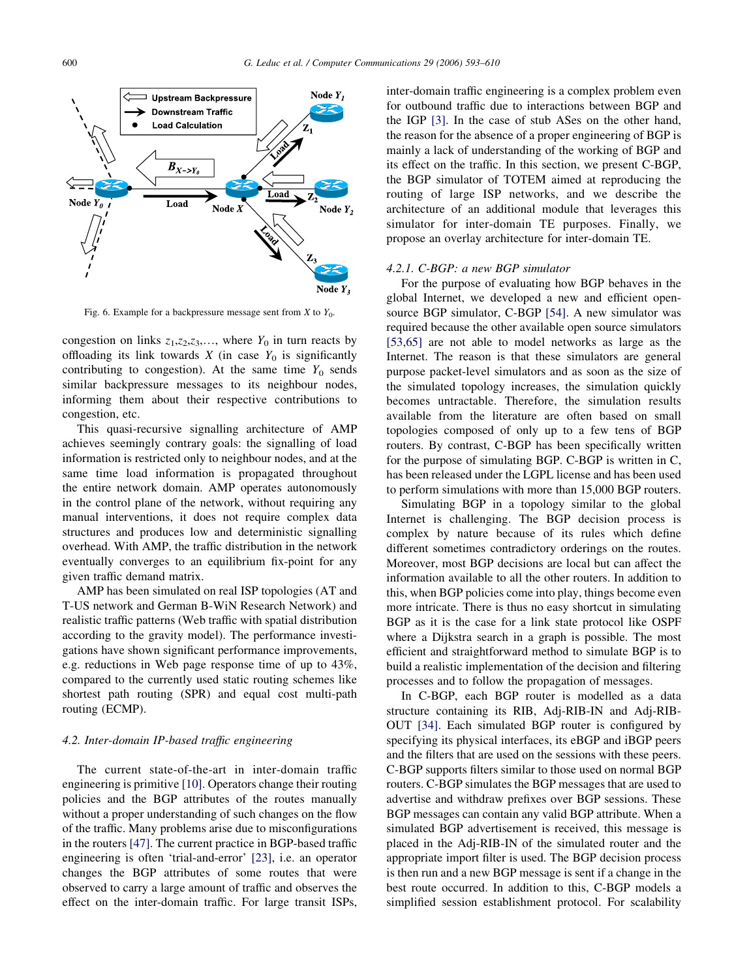<span id="page-7-0"></span>

Fig. 6. Example for a backpressure message sent from X to  $Y_0$ .

congestion on links  $z_1, z_2, z_3, \ldots$ , where  $Y_0$  in turn reacts by offloading its link towards  $X$  (in case  $Y_0$  is significantly contributing to congestion). At the same time  $Y_0$  sends similar backpressure messages to its neighbour nodes, informing them about their respective contributions to congestion, etc.

This quasi-recursive signalling architecture of AMP achieves seemingly contrary goals: the signalling of load information is restricted only to neighbour nodes, and at the same time load information is propagated throughout the entire network domain. AMP operates autonomously in the control plane of the network, without requiring any manual interventions, it does not require complex data structures and produces low and deterministic signalling overhead. With AMP, the traffic distribution in the network eventually converges to an equilibrium fix-point for any given traffic demand matrix.

AMP has been simulated on real ISP topologies (AT and T-US network and German B-WiN Research Network) and realistic traffic patterns (Web traffic with spatial distribution according to the gravity model). The performance investigations have shown significant performance improvements, e.g. reductions in Web page response time of up to 43%, compared to the currently used static routing schemes like shortest path routing (SPR) and equal cost multi-path routing (ECMP).

#### 4.2. Inter-domain IP-based traffic engineering

The current state-of-the-art in inter-domain traffic engineering is primitive [\[10\]](#page-15-0). Operators change their routing policies and the BGP attributes of the routes manually without a proper understanding of such changes on the flow of the traffic. Many problems arise due to misconfigurations in the routers [\[47\].](#page-16-0) The current practice in BGP-based traffic engineering is often 'trial-and-error' [\[23\],](#page-15-0) i.e. an operator changes the BGP attributes of some routes that were observed to carry a large amount of traffic and observes the effect on the inter-domain traffic. For large transit ISPs, inter-domain traffic engineering is a complex problem even for outbound traffic due to interactions between BGP and the IGP [\[3\].](#page-15-0) In the case of stub ASes on the other hand, the reason for the absence of a proper engineering of BGP is mainly a lack of understanding of the working of BGP and its effect on the traffic. In this section, we present C-BGP, the BGP simulator of TOTEM aimed at reproducing the routing of large ISP networks, and we describe the architecture of an additional module that leverages this simulator for inter-domain TE purposes. Finally, we propose an overlay architecture for inter-domain TE.

# 4.2.1. C-BGP: a new BGP simulator

For the purpose of evaluating how BGP behaves in the global Internet, we developed a new and efficient opensource BGP simulator, C-BGP [\[54\]](#page-16-0). A new simulator was required because the other available open source simulators [\[53,65\]](#page-16-0) are not able to model networks as large as the Internet. The reason is that these simulators are general purpose packet-level simulators and as soon as the size of the simulated topology increases, the simulation quickly becomes untractable. Therefore, the simulation results available from the literature are often based on small topologies composed of only up to a few tens of BGP routers. By contrast, C-BGP has been specifically written for the purpose of simulating BGP. C-BGP is written in C, has been released under the LGPL license and has been used to perform simulations with more than 15,000 BGP routers.

Simulating BGP in a topology similar to the global Internet is challenging. The BGP decision process is complex by nature because of its rules which define different sometimes contradictory orderings on the routes. Moreover, most BGP decisions are local but can affect the information available to all the other routers. In addition to this, when BGP policies come into play, things become even more intricate. There is thus no easy shortcut in simulating BGP as it is the case for a link state protocol like OSPF where a Dijkstra search in a graph is possible. The most efficient and straightforward method to simulate BGP is to build a realistic implementation of the decision and filtering processes and to follow the propagation of messages.

In C-BGP, each BGP router is modelled as a data structure containing its RIB, Adj-RIB-IN and Adj-RIB-OUT [\[34\].](#page-16-0) Each simulated BGP router is configured by specifying its physical interfaces, its eBGP and iBGP peers and the filters that are used on the sessions with these peers. C-BGP supports filters similar to those used on normal BGP routers. C-BGP simulates the BGP messages that are used to advertise and withdraw prefixes over BGP sessions. These BGP messages can contain any valid BGP attribute. When a simulated BGP advertisement is received, this message is placed in the Adj-RIB-IN of the simulated router and the appropriate import filter is used. The BGP decision process is then run and a new BGP message is sent if a change in the best route occurred. In addition to this, C-BGP models a simplified session establishment protocol. For scalability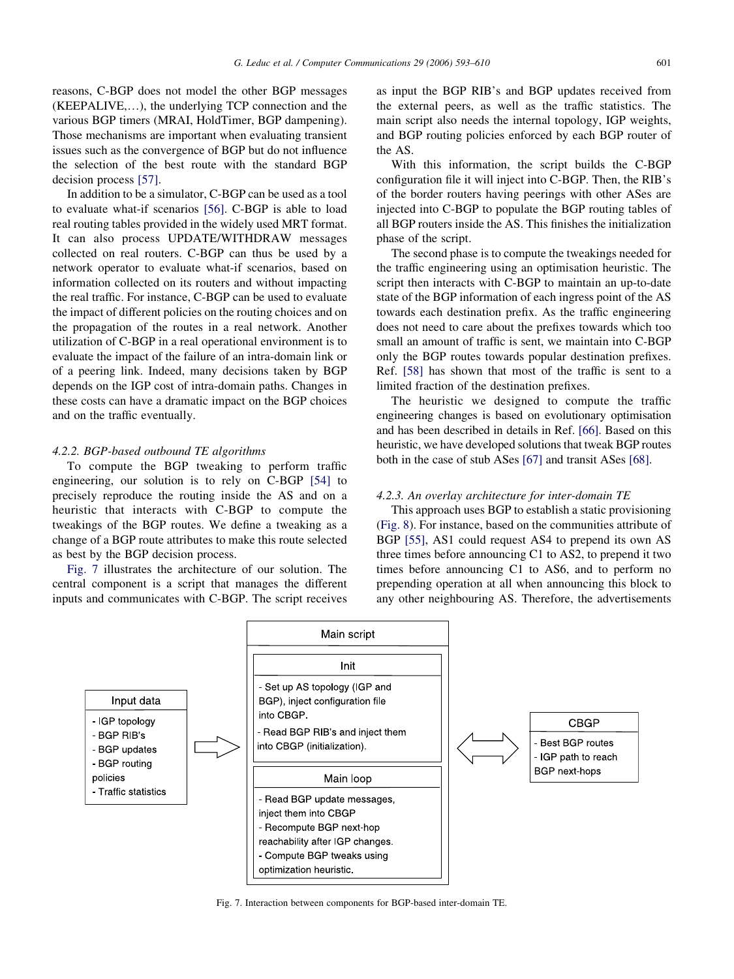reasons, C-BGP does not model the other BGP messages (KEEPALIVE,.), the underlying TCP connection and the various BGP timers (MRAI, HoldTimer, BGP dampening). Those mechanisms are important when evaluating transient issues such as the convergence of BGP but do not influence the selection of the best route with the standard BGP decision process [\[57\]](#page-16-0).

In addition to be a simulator, C-BGP can be used as a tool to evaluate what-if scenarios [\[56\]](#page-16-0). C-BGP is able to load real routing tables provided in the widely used MRT format. It can also process UPDATE/WITHDRAW messages collected on real routers. C-BGP can thus be used by a network operator to evaluate what-if scenarios, based on information collected on its routers and without impacting the real traffic. For instance, C-BGP can be used to evaluate the impact of different policies on the routing choices and on the propagation of the routes in a real network. Another utilization of C-BGP in a real operational environment is to evaluate the impact of the failure of an intra-domain link or of a peering link. Indeed, many decisions taken by BGP depends on the IGP cost of intra-domain paths. Changes in these costs can have a dramatic impact on the BGP choices and on the traffic eventually.

# 4.2.2. BGP-based outbound TE algorithms

To compute the BGP tweaking to perform traffic engineering, our solution is to rely on C-BGP [\[54\]](#page-16-0) to precisely reproduce the routing inside the AS and on a heuristic that interacts with C-BGP to compute the tweakings of the BGP routes. We define a tweaking as a change of a BGP route attributes to make this route selected as best by the BGP decision process.

Fig. 7 illustrates the architecture of our solution. The central component is a script that manages the different inputs and communicates with C-BGP. The script receives as input the BGP RIB's and BGP updates received from the external peers, as well as the traffic statistics. The main script also needs the internal topology, IGP weights, and BGP routing policies enforced by each BGP router of the AS.

With this information, the script builds the C-BGP configuration file it will inject into C-BGP. Then, the RIB's of the border routers having peerings with other ASes are injected into C-BGP to populate the BGP routing tables of all BGP routers inside the AS. This finishes the initialization phase of the script.

The second phase is to compute the tweakings needed for the traffic engineering using an optimisation heuristic. The script then interacts with C-BGP to maintain an up-to-date state of the BGP information of each ingress point of the AS towards each destination prefix. As the traffic engineering does not need to care about the prefixes towards which too small an amount of traffic is sent, we maintain into C-BGP only the BGP routes towards popular destination prefixes. Ref. [\[58\]](#page-16-0) has shown that most of the traffic is sent to a limited fraction of the destination prefixes.

The heuristic we designed to compute the traffic engineering changes is based on evolutionary optimisation and has been described in details in Ref. [\[66\].](#page-16-0) Based on this heuristic, we have developed solutions that tweak BGP routes both in the case of stub ASes [\[67\]](#page-16-0) and transit ASes [\[68\].](#page-16-0)

#### 4.2.3. An overlay architecture for inter-domain TE

This approach uses BGP to establish a static provisioning ([Fig. 8](#page-9-0)). For instance, based on the communities attribute of BGP [\[55\],](#page-16-0) AS1 could request AS4 to prepend its own AS three times before announcing C1 to AS2, to prepend it two times before announcing C1 to AS6, and to perform no prepending operation at all when announcing this block to any other neighbouring AS. Therefore, the advertisements



Fig. 7. Interaction between components for BGP-based inter-domain TE.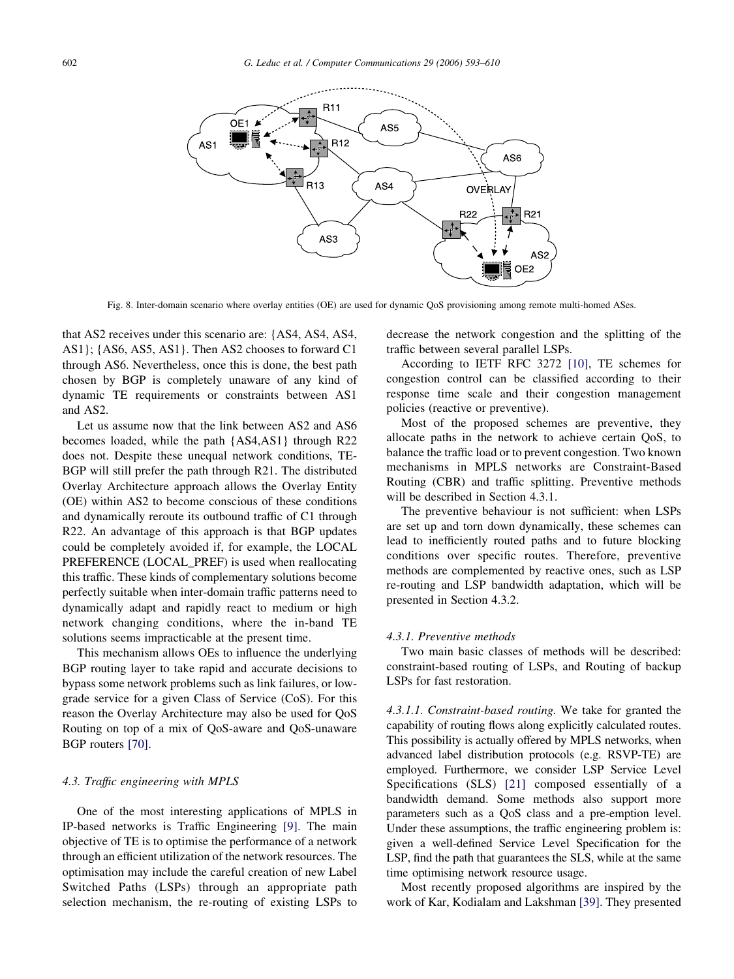<span id="page-9-0"></span>

Fig. 8. Inter-domain scenario where overlay entities (OE) are used for dynamic QoS provisioning among remote multi-homed ASes.

that AS2 receives under this scenario are: {AS4, AS4, AS4, AS1}; {AS6, AS5, AS1}. Then AS2 chooses to forward C1 through AS6. Nevertheless, once this is done, the best path chosen by BGP is completely unaware of any kind of dynamic TE requirements or constraints between AS1 and AS2.

Let us assume now that the link between AS2 and AS6 becomes loaded, while the path {AS4,AS1} through R22 does not. Despite these unequal network conditions, TE-BGP will still prefer the path through R21. The distributed Overlay Architecture approach allows the Overlay Entity (OE) within AS2 to become conscious of these conditions and dynamically reroute its outbound traffic of C1 through R22. An advantage of this approach is that BGP updates could be completely avoided if, for example, the LOCAL PREFERENCE (LOCAL\_PREF) is used when reallocating this traffic. These kinds of complementary solutions become perfectly suitable when inter-domain traffic patterns need to dynamically adapt and rapidly react to medium or high network changing conditions, where the in-band TE solutions seems impracticable at the present time.

This mechanism allows OEs to influence the underlying BGP routing layer to take rapid and accurate decisions to bypass some network problems such as link failures, or lowgrade service for a given Class of Service (CoS). For this reason the Overlay Architecture may also be used for QoS Routing on top of a mix of QoS-aware and QoS-unaware BGP routers [\[70\]](#page-17-0).

#### 4.3. Traffic engineering with MPLS

One of the most interesting applications of MPLS in IP-based networks is Traffic Engineering [\[9\]](#page-15-0). The main objective of TE is to optimise the performance of a network through an efficient utilization of the network resources. The optimisation may include the careful creation of new Label Switched Paths (LSPs) through an appropriate path selection mechanism, the re-routing of existing LSPs to

decrease the network congestion and the splitting of the traffic between several parallel LSPs.

According to IETF RFC 3272 [\[10\]](#page-15-0), TE schemes for congestion control can be classified according to their response time scale and their congestion management policies (reactive or preventive).

Most of the proposed schemes are preventive, they allocate paths in the network to achieve certain QoS, to balance the traffic load or to prevent congestion. Two known mechanisms in MPLS networks are Constraint-Based Routing (CBR) and traffic splitting. Preventive methods will be described in Section 4.3.1.

The preventive behaviour is not sufficient: when LSPs are set up and torn down dynamically, these schemes can lead to inefficiently routed paths and to future blocking conditions over specific routes. Therefore, preventive methods are complemented by reactive ones, such as LSP re-routing and LSP bandwidth adaptation, which will be presented in Section 4.3.2.

## 4.3.1. Preventive methods

Two main basic classes of methods will be described: constraint-based routing of LSPs, and Routing of backup LSPs for fast restoration.

4.3.1.1. Constraint-based routing. We take for granted the capability of routing flows along explicitly calculated routes. This possibility is actually offered by MPLS networks, when advanced label distribution protocols (e.g. RSVP-TE) are employed. Furthermore, we consider LSP Service Level Specifications (SLS) [\[21\]](#page-15-0) composed essentially of a bandwidth demand. Some methods also support more parameters such as a QoS class and a pre-emption level. Under these assumptions, the traffic engineering problem is: given a well-defined Service Level Specification for the LSP, find the path that guarantees the SLS, while at the same time optimising network resource usage.

Most recently proposed algorithms are inspired by the work of Kar, Kodialam and Lakshman [\[39\].](#page-16-0) They presented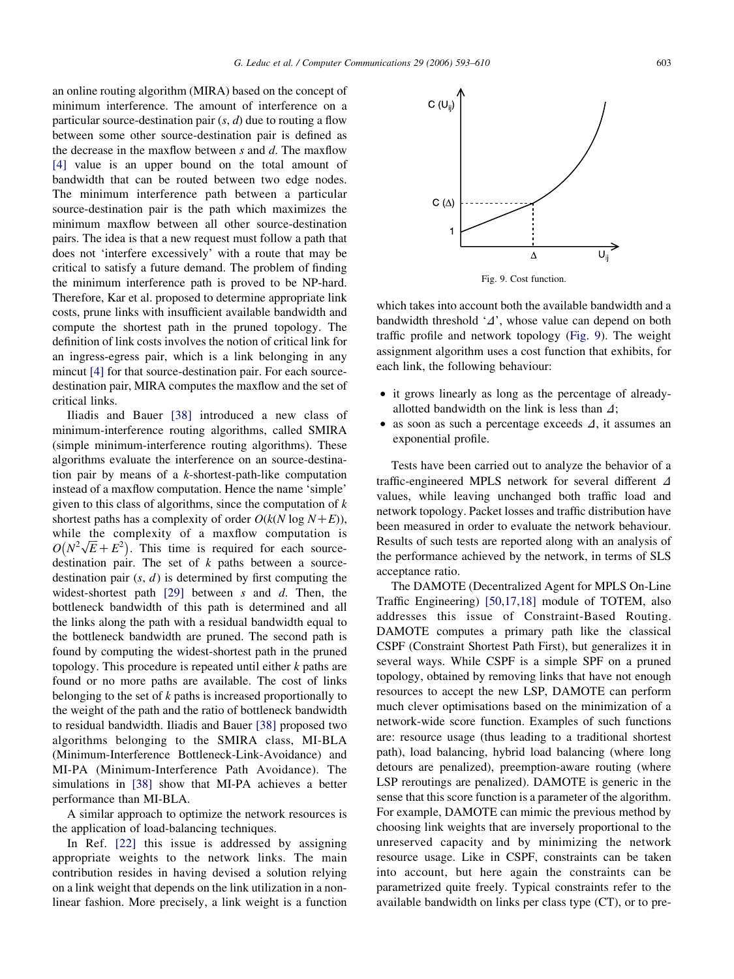an online routing algorithm (MIRA) based on the concept of minimum interference. The amount of interference on a particular source-destination pair  $(s, d)$  due to routing a flow between some other source-destination pair is defined as the decrease in the maxflow between  $s$  and  $d$ . The maxflow [\[4\]](#page-15-0) value is an upper bound on the total amount of bandwidth that can be routed between two edge nodes. The minimum interference path between a particular source-destination pair is the path which maximizes the minimum maxflow between all other source-destination pairs. The idea is that a new request must follow a path that does not 'interfere excessively' with a route that may be critical to satisfy a future demand. The problem of finding the minimum interference path is proved to be NP-hard. Therefore, Kar et al. proposed to determine appropriate link costs, prune links with insufficient available bandwidth and compute the shortest path in the pruned topology. The definition of link costs involves the notion of critical link for an ingress-egress pair, which is a link belonging in any mincut [\[4\]](#page-15-0) for that source-destination pair. For each sourcedestination pair, MIRA computes the maxflow and the set of critical links.

Iliadis and Bauer [\[38\]](#page-16-0) introduced a new class of minimum-interference routing algorithms, called SMIRA (simple minimum-interference routing algorithms). These algorithms evaluate the interference on an source-destination pair by means of a k-shortest-path-like computation instead of a maxflow computation. Hence the name 'simple' given to this class of algorithms, since the computation of  $k$ shortest paths has a complexity of order  $O(k(N \log N + E))$ , while the complexity of a maxflow computation is  $O(N^2\sqrt{E}+E^2)$ . This time is required for each sourcedestination pair. The set of  $k$  paths between a sourcedestination pair  $(s, d)$  is determined by first computing the widest-shortest path  $[29]$  between s and d. Then, the bottleneck bandwidth of this path is determined and all the links along the path with a residual bandwidth equal to the bottleneck bandwidth are pruned. The second path is found by computing the widest-shortest path in the pruned topology. This procedure is repeated until either  $k$  paths are found or no more paths are available. The cost of links belonging to the set of  $k$  paths is increased proportionally to the weight of the path and the ratio of bottleneck bandwidth to residual bandwidth. Iliadis and Bauer [\[38\]](#page-16-0) proposed two algorithms belonging to the SMIRA class, MI-BLA (Minimum-Interference Bottleneck-Link-Avoidance) and MI-PA (Minimum-Interference Path Avoidance). The simulations in [\[38\]](#page-16-0) show that MI-PA achieves a better performance than MI-BLA.

A similar approach to optimize the network resources is the application of load-balancing techniques.

In Ref. [\[22\]](#page-15-0) this issue is addressed by assigning appropriate weights to the network links. The main contribution resides in having devised a solution relying on a link weight that depends on the link utilization in a nonlinear fashion. More precisely, a link weight is a function



Fig. 9. Cost function.

which takes into account both the available bandwidth and a bandwidth threshold  $\Delta$ ', whose value can depend on both traffic profile and network topology (Fig. 9). The weight assignment algorithm uses a cost function that exhibits, for each link, the following behaviour:

- it grows linearly as long as the percentage of alreadyallotted bandwidth on the link is less than  $\Delta$ ;
- as soon as such a percentage exceeds  $\Delta$ , it assumes an exponential profile.

Tests have been carried out to analyze the behavior of a traffic-engineered MPLS network for several different  $\Delta$ values, while leaving unchanged both traffic load and network topology. Packet losses and traffic distribution have been measured in order to evaluate the network behaviour. Results of such tests are reported along with an analysis of the performance achieved by the network, in terms of SLS acceptance ratio.

The DAMOTE (Decentralized Agent for MPLS On-Line Traffic Engineering) [\[50,17,18\]](#page-16-0) module of TOTEM, also addresses this issue of Constraint-Based Routing. DAMOTE computes a primary path like the classical CSPF (Constraint Shortest Path First), but generalizes it in several ways. While CSPF is a simple SPF on a pruned topology, obtained by removing links that have not enough resources to accept the new LSP, DAMOTE can perform much clever optimisations based on the minimization of a network-wide score function. Examples of such functions are: resource usage (thus leading to a traditional shortest path), load balancing, hybrid load balancing (where long detours are penalized), preemption-aware routing (where LSP reroutings are penalized). DAMOTE is generic in the sense that this score function is a parameter of the algorithm. For example, DAMOTE can mimic the previous method by choosing link weights that are inversely proportional to the unreserved capacity and by minimizing the network resource usage. Like in CSPF, constraints can be taken into account, but here again the constraints can be parametrized quite freely. Typical constraints refer to the available bandwidth on links per class type (CT), or to pre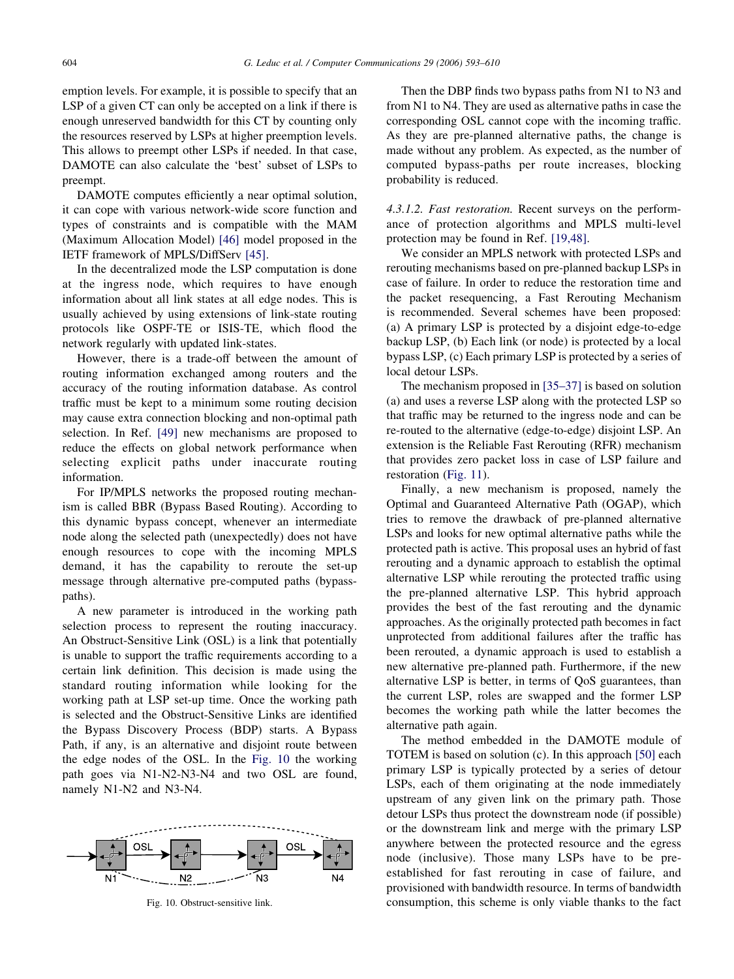emption levels. For example, it is possible to specify that an LSP of a given CT can only be accepted on a link if there is enough unreserved bandwidth for this CT by counting only the resources reserved by LSPs at higher preemption levels. This allows to preempt other LSPs if needed. In that case, DAMOTE can also calculate the 'best' subset of LSPs to preempt.

DAMOTE computes efficiently a near optimal solution, it can cope with various network-wide score function and types of constraints and is compatible with the MAM (Maximum Allocation Model) [\[46\]](#page-16-0) model proposed in the IETF framework of MPLS/DiffServ [\[45\].](#page-16-0)

In the decentralized mode the LSP computation is done at the ingress node, which requires to have enough information about all link states at all edge nodes. This is usually achieved by using extensions of link-state routing protocols like OSPF-TE or ISIS-TE, which flood the network regularly with updated link-states.

However, there is a trade-off between the amount of routing information exchanged among routers and the accuracy of the routing information database. As control traffic must be kept to a minimum some routing decision may cause extra connection blocking and non-optimal path selection. In Ref. [\[49\]](#page-16-0) new mechanisms are proposed to reduce the effects on global network performance when selecting explicit paths under inaccurate routing information.

For IP/MPLS networks the proposed routing mechanism is called BBR (Bypass Based Routing). According to this dynamic bypass concept, whenever an intermediate node along the selected path (unexpectedly) does not have enough resources to cope with the incoming MPLS demand, it has the capability to reroute the set-up message through alternative pre-computed paths (bypasspaths).

A new parameter is introduced in the working path selection process to represent the routing inaccuracy. An Obstruct-Sensitive Link (OSL) is a link that potentially is unable to support the traffic requirements according to a certain link definition. This decision is made using the standard routing information while looking for the working path at LSP set-up time. Once the working path is selected and the Obstruct-Sensitive Links are identified the Bypass Discovery Process (BDP) starts. A Bypass Path, if any, is an alternative and disjoint route between the edge nodes of the OSL. In the Fig. 10 the working path goes via N1-N2-N3-N4 and two OSL are found, namely N1-N2 and N3-N4.



Then the DBP finds two bypass paths from N1 to N3 and from N1 to N4. They are used as alternative paths in case the corresponding OSL cannot cope with the incoming traffic. As they are pre-planned alternative paths, the change is made without any problem. As expected, as the number of computed bypass-paths per route increases, blocking probability is reduced.

4.3.1.2. Fast restoration. Recent surveys on the performance of protection algorithms and MPLS multi-level protection may be found in Ref. [\[19,48\]](#page-15-0).

We consider an MPLS network with protected LSPs and rerouting mechanisms based on pre-planned backup LSPs in case of failure. In order to reduce the restoration time and the packet resequencing, a Fast Rerouting Mechanism is recommended. Several schemes have been proposed: (a) A primary LSP is protected by a disjoint edge-to-edge backup LSP, (b) Each link (or node) is protected by a local bypass LSP, (c) Each primary LSP is protected by a series of local detour LSPs.

The mechanism proposed in [\[35–37\]](#page-16-0) is based on solution (a) and uses a reverse LSP along with the protected LSP so that traffic may be returned to the ingress node and can be re-routed to the alternative (edge-to-edge) disjoint LSP. An extension is the Reliable Fast Rerouting (RFR) mechanism that provides zero packet loss in case of LSP failure and restoration ([Fig. 11\)](#page-12-0).

Finally, a new mechanism is proposed, namely the Optimal and Guaranteed Alternative Path (OGAP), which tries to remove the drawback of pre-planned alternative LSPs and looks for new optimal alternative paths while the protected path is active. This proposal uses an hybrid of fast rerouting and a dynamic approach to establish the optimal alternative LSP while rerouting the protected traffic using the pre-planned alternative LSP. This hybrid approach provides the best of the fast rerouting and the dynamic approaches. As the originally protected path becomes in fact unprotected from additional failures after the traffic has been rerouted, a dynamic approach is used to establish a new alternative pre-planned path. Furthermore, if the new alternative LSP is better, in terms of QoS guarantees, than the current LSP, roles are swapped and the former LSP becomes the working path while the latter becomes the alternative path again.

The method embedded in the DAMOTE module of TOTEM is based on solution (c). In this approach [\[50\]](#page-16-0) each primary LSP is typically protected by a series of detour LSPs, each of them originating at the node immediately upstream of any given link on the primary path. Those detour LSPs thus protect the downstream node (if possible) or the downstream link and merge with the primary LSP anywhere between the protected resource and the egress node (inclusive). Those many LSPs have to be preestablished for fast rerouting in case of failure, and provisioned with bandwidth resource. In terms of bandwidth Fig. 10. Obstruct-sensitive link. consumption, this scheme is only viable thanks to the fact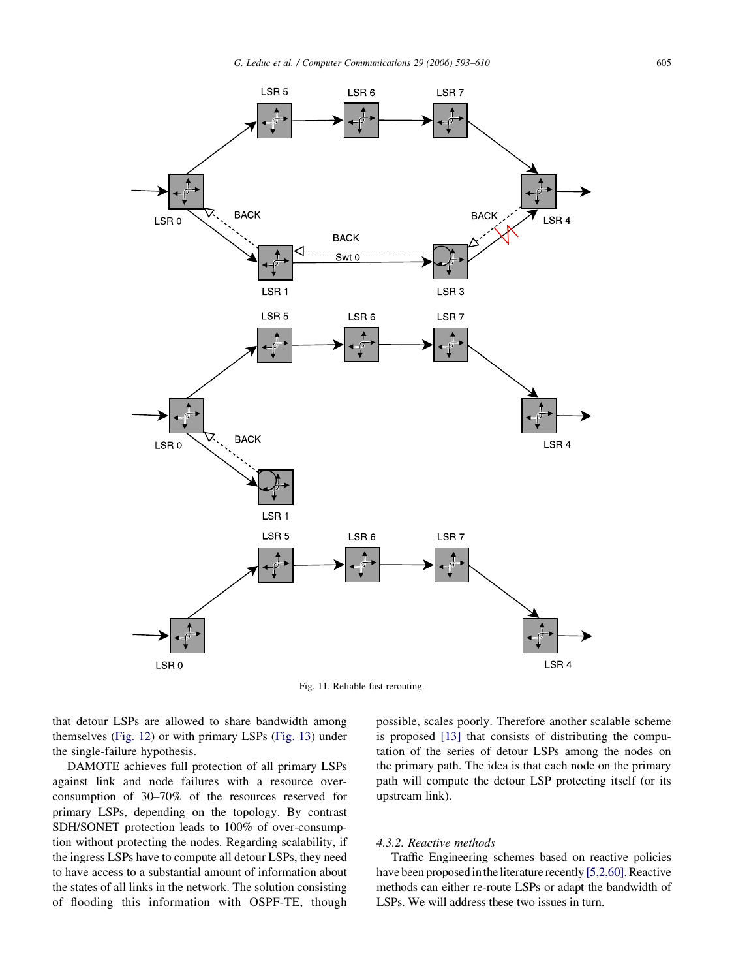<span id="page-12-0"></span>

Fig. 11. Reliable fast rerouting.

that detour LSPs are allowed to share bandwidth among themselves [\(Fig. 12](#page-13-0)) or with primary LSPs [\(Fig. 13](#page-13-0)) under the single-failure hypothesis.

DAMOTE achieves full protection of all primary LSPs against link and node failures with a resource overconsumption of 30–70% of the resources reserved for primary LSPs, depending on the topology. By contrast SDH/SONET protection leads to 100% of over-consumption without protecting the nodes. Regarding scalability, if the ingress LSPs have to compute all detour LSPs, they need to have access to a substantial amount of information about the states of all links in the network. The solution consisting of flooding this information with OSPF-TE, though

possible, scales poorly. Therefore another scalable scheme is proposed [\[13\]](#page-15-0) that consists of distributing the computation of the series of detour LSPs among the nodes on the primary path. The idea is that each node on the primary path will compute the detour LSP protecting itself (or its upstream link).

# 4.3.2. Reactive methods

Traffic Engineering schemes based on reactive policies have been proposed in the literature recently [\[5,2,60\]](#page-15-0). Reactive methods can either re-route LSPs or adapt the bandwidth of LSPs. We will address these two issues in turn.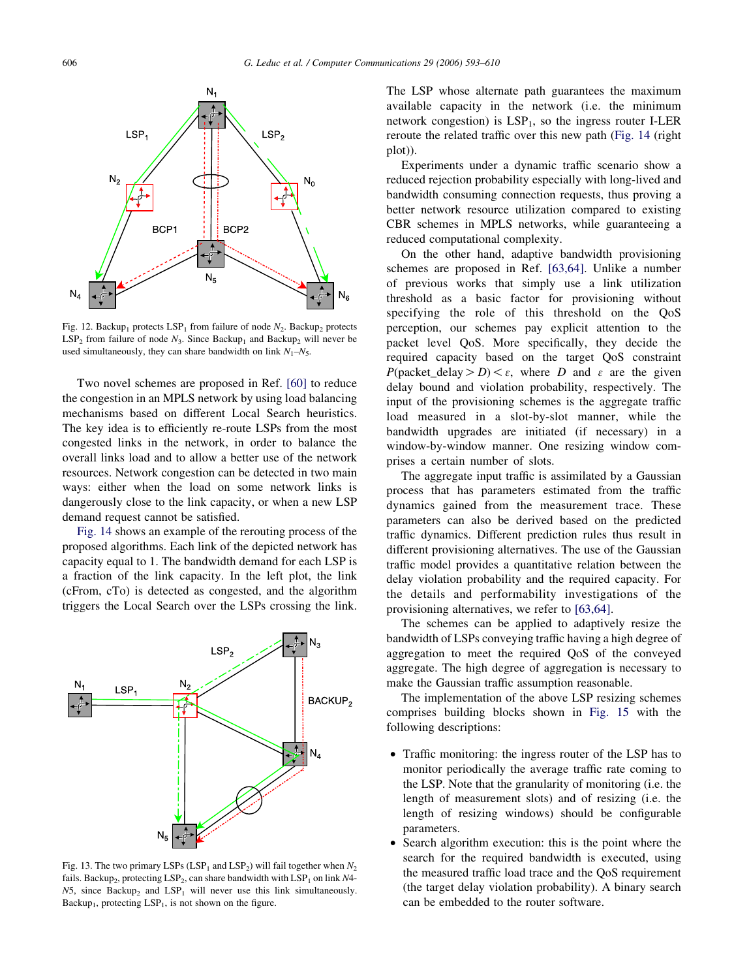<span id="page-13-0"></span>

Fig. 12. Backup<sub>1</sub> protects LSP<sub>1</sub> from failure of node  $N_2$ . Backup<sub>2</sub> protects LSP<sub>2</sub> from failure of node  $N_3$ . Since Backup<sub>1</sub> and Backup<sub>2</sub> will never be used simultaneously, they can share bandwidth on link  $N_1-N_5$ .

Two novel schemes are proposed in Ref. [\[60\]](#page-16-0) to reduce the congestion in an MPLS network by using load balancing mechanisms based on different Local Search heuristics. The key idea is to efficiently re-route LSPs from the most congested links in the network, in order to balance the overall links load and to allow a better use of the network resources. Network congestion can be detected in two main ways: either when the load on some network links is dangerously close to the link capacity, or when a new LSP demand request cannot be satisfied.

[Fig. 14](#page-14-0) shows an example of the rerouting process of the proposed algorithms. Each link of the depicted network has capacity equal to 1. The bandwidth demand for each LSP is a fraction of the link capacity. In the left plot, the link (cFrom, cTo) is detected as congested, and the algorithm triggers the Local Search over the LSPs crossing the link.



Fig. 13. The two primary LSPs (LSP<sub>1</sub> and LSP<sub>2</sub>) will fail together when  $N_2$ fails. Backup<sub>2</sub>, protecting LSP<sub>2</sub>, can share bandwidth with LSP<sub>1</sub> on link N4- $N5$ , since Backup<sub>2</sub> and LSP<sub>1</sub> will never use this link simultaneously. Backup<sub>1</sub>, protecting  $LSP<sub>1</sub>$ , is not shown on the figure.

The LSP whose alternate path guarantees the maximum available capacity in the network (i.e. the minimum network congestion) is  $LSP<sub>1</sub>$ , so the ingress router I-LER reroute the related traffic over this new path ([Fig. 14](#page-14-0) (right plot)).

Experiments under a dynamic traffic scenario show a reduced rejection probability especially with long-lived and bandwidth consuming connection requests, thus proving a better network resource utilization compared to existing CBR schemes in MPLS networks, while guaranteeing a reduced computational complexity.

On the other hand, adaptive bandwidth provisioning schemes are proposed in Ref. [\[63,64\].](#page-16-0) Unlike a number of previous works that simply use a link utilization threshold as a basic factor for provisioning without specifying the role of this threshold on the QoS perception, our schemes pay explicit attention to the packet level QoS. More specifically, they decide the required capacity based on the target QoS constraint  $P$ (packet\_delay > D) <  $\varepsilon$ , where D and  $\varepsilon$  are the given delay bound and violation probability, respectively. The input of the provisioning schemes is the aggregate traffic load measured in a slot-by-slot manner, while the bandwidth upgrades are initiated (if necessary) in a window-by-window manner. One resizing window comprises a certain number of slots.

The aggregate input traffic is assimilated by a Gaussian process that has parameters estimated from the traffic dynamics gained from the measurement trace. These parameters can also be derived based on the predicted traffic dynamics. Different prediction rules thus result in different provisioning alternatives. The use of the Gaussian traffic model provides a quantitative relation between the delay violation probability and the required capacity. For the details and performability investigations of the provisioning alternatives, we refer to [\[63,64\]](#page-16-0).

The schemes can be applied to adaptively resize the bandwidth of LSPs conveying traffic having a high degree of aggregation to meet the required QoS of the conveyed aggregate. The high degree of aggregation is necessary to make the Gaussian traffic assumption reasonable.

The implementation of the above LSP resizing schemes comprises building blocks shown in [Fig. 15](#page-14-0) with the following descriptions:

- Traffic monitoring: the ingress router of the LSP has to monitor periodically the average traffic rate coming to the LSP. Note that the granularity of monitoring (i.e. the length of measurement slots) and of resizing (i.e. the length of resizing windows) should be configurable parameters.
- Search algorithm execution: this is the point where the search for the required bandwidth is executed, using the measured traffic load trace and the QoS requirement (the target delay violation probability). A binary search can be embedded to the router software.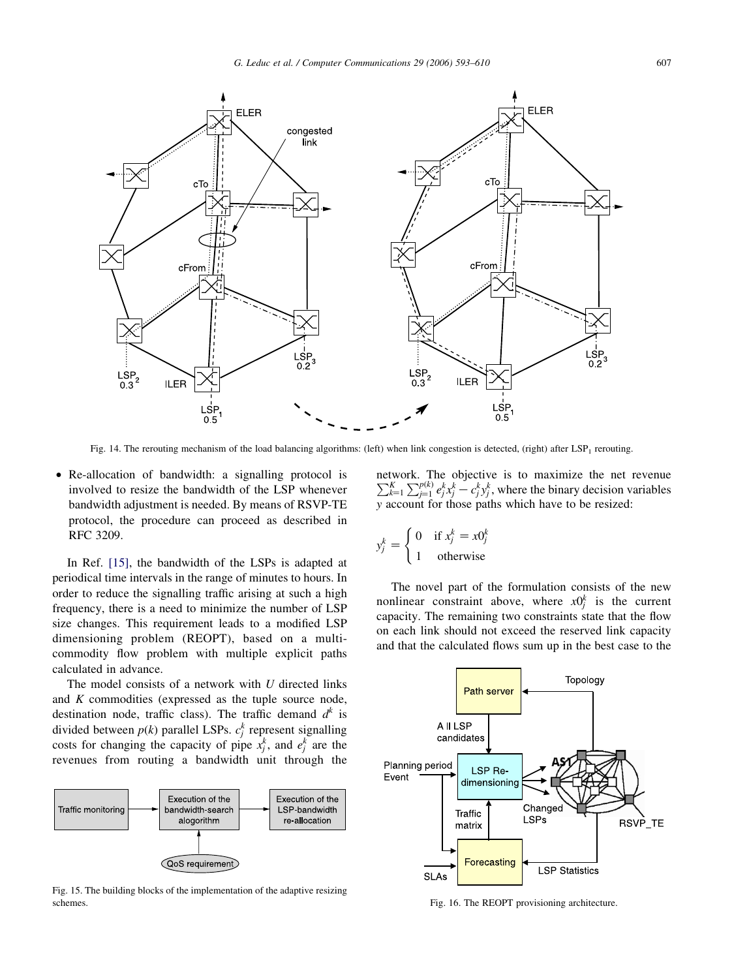<span id="page-14-0"></span>

Fig. 14. The rerouting mechanism of the load balancing algorithms: (left) when link congestion is detected, (right) after  $LSP<sub>1</sub>$  rerouting.

• Re-allocation of bandwidth: a signalling protocol is involved to resize the bandwidth of the LSP whenever bandwidth adjustment is needed. By means of RSVP-TE protocol, the procedure can proceed as described in RFC 3209.

In Ref. [\[15\],](#page-15-0) the bandwidth of the LSPs is adapted at periodical time intervals in the range of minutes to hours. In order to reduce the signalling traffic arising at such a high frequency, there is a need to minimize the number of LSP size changes. This requirement leads to a modified LSP dimensioning problem (REOPT), based on a multicommodity flow problem with multiple explicit paths calculated in advance.

The model consists of a network with  $U$  directed links and K commodities (expressed as the tuple source node, destination node, traffic class). The traffic demand  $d^k$  is divided between  $p(k)$  parallel LSPs.  $c_j^k$  represent signalling costs for changing the capacity of pipe  $x_j^k$ , and  $e_j^k$  are the revenues from routing a bandwidth unit through the



Fig. 15. The building blocks of the implementation of the adaptive resizing schemes. The REOPT provisioning architecture.

network. The objective is to maximize the net revenue  $\sum_{k=1}^{K} \sum_{j=1}^{p(k)} e_j^k x_j^k - c_j^k y_j^k$ , where the binary decision variables y account for those paths which have to be resized:

$$
y_j^k = \begin{cases} 0 & \text{if } x_j^k = x0_j^k \\ 1 & \text{otherwise} \end{cases}
$$

The novel part of the formulation consists of the new nonlinear constraint above, where  $x0_j^k$  is the current capacity. The remaining two constraints state that the flow on each link should not exceed the reserved link capacity and that the calculated flows sum up in the best case to the

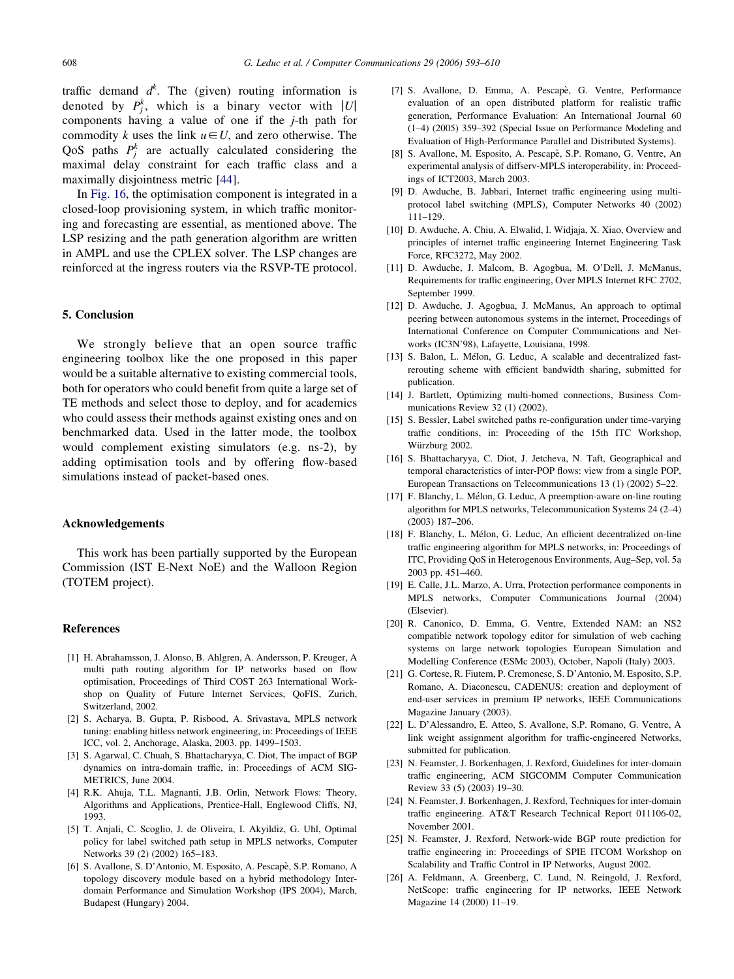<span id="page-15-0"></span>traffic demand  $d^k$ . The (given) routing information is denoted by  $P_j^k$ , which is a binary vector with |U| components having a value of one if the j-th path for commodity k uses the link  $u \in U$ , and zero otherwise. The QoS paths  $P_j^k$  are actually calculated considering the maximal delay constraint for each traffic class and a maximally disjointness metric [\[44\]](#page-16-0).

In [Fig. 16](#page-14-0), the optimisation component is integrated in a closed-loop provisioning system, in which traffic monitoring and forecasting are essential, as mentioned above. The LSP resizing and the path generation algorithm are written in AMPL and use the CPLEX solver. The LSP changes are reinforced at the ingress routers via the RSVP-TE protocol.

## 5. Conclusion

We strongly believe that an open source traffic engineering toolbox like the one proposed in this paper would be a suitable alternative to existing commercial tools, both for operators who could benefit from quite a large set of TE methods and select those to deploy, and for academics who could assess their methods against existing ones and on benchmarked data. Used in the latter mode, the toolbox would complement existing simulators (e.g. ns-2), by adding optimisation tools and by offering flow-based simulations instead of packet-based ones.

#### Acknowledgements

This work has been partially supported by the European Commission (IST E-Next NoE) and the Walloon Region (TOTEM project).

## References

- [1] H. Abrahamsson, J. Alonso, B. Ahlgren, A. Andersson, P. Kreuger, A multi path routing algorithm for IP networks based on flow optimisation, Proceedings of Third COST 263 International Workshop on Quality of Future Internet Services, QoFIS, Zurich, Switzerland, 2002.
- [2] S. Acharya, B. Gupta, P. Risbood, A. Srivastava, MPLS network tuning: enabling hitless network engineering, in: Proceedings of IEEE ICC, vol. 2, Anchorage, Alaska, 2003. pp. 1499–1503.
- [3] S. Agarwal, C. Chuah, S. Bhattacharyya, C. Diot, The impact of BGP dynamics on intra-domain traffic, in: Proceedings of ACM SIG-METRICS, June 2004.
- [4] R.K. Ahuja, T.L. Magnanti, J.B. Orlin, Network Flows: Theory, Algorithms and Applications, Prentice-Hall, Englewood Cliffs, NJ, 1993.
- [5] T. Anjali, C. Scoglio, J. de Oliveira, I. Akyildiz, G. Uhl, Optimal policy for label switched path setup in MPLS networks, Computer Networks 39 (2) (2002) 165–183.
- [6] S. Avallone, S. D'Antonio, M. Esposito, A. Pescapè, S.P. Romano, A topology discovery module based on a hybrid methodology Interdomain Performance and Simulation Workshop (IPS 2004), March, Budapest (Hungary) 2004.
- [7] S. Avallone, D. Emma, A. Pescapè, G. Ventre, Performance evaluation of an open distributed platform for realistic traffic generation, Performance Evaluation: An International Journal 60 (1–4) (2005) 359–392 (Special Issue on Performance Modeling and Evaluation of High-Performance Parallel and Distributed Systems).
- [8] S. Avallone, M. Esposito, A. Pescapè, S.P. Romano, G. Ventre, An experimental analysis of diffserv-MPLS interoperability, in: Proceedings of ICT2003, March 2003.
- [9] D. Awduche, B. Jabbari, Internet traffic engineering using multiprotocol label switching (MPLS), Computer Networks 40 (2002) 111–129.
- [10] D. Awduche, A. Chiu, A. Elwalid, I. Widjaja, X. Xiao, Overview and principles of internet traffic engineering Internet Engineering Task Force, RFC3272, May 2002.
- [11] D. Awduche, J. Malcom, B. Agogbua, M. O'Dell, J. McManus, Requirements for traffic engineering, Over MPLS Internet RFC 2702, September 1999.
- [12] D. Awduche, J. Agogbua, J. McManus, An approach to optimal peering between autonomous systems in the internet, Proceedings of International Conference on Computer Communications and Networks (IC3N'98), Lafayette, Louisiana, 1998.
- [13] S. Balon, L. Mélon, G. Leduc, A scalable and decentralized fastrerouting scheme with efficient bandwidth sharing, submitted for publication.
- [14] J. Bartlett, Optimizing multi-homed connections, Business Communications Review 32 (1) (2002).
- [15] S. Bessler, Label switched paths re-configuration under time-varying traffic conditions, in: Proceeding of the 15th ITC Workshop, Würzburg 2002.
- [16] S. Bhattacharyya, C. Diot, J. Jetcheva, N. Taft, Geographical and temporal characteristics of inter-POP flows: view from a single POP, European Transactions on Telecommunications 13 (1) (2002) 5–22.
- [17] F. Blanchy, L. Mélon, G. Leduc, A preemption-aware on-line routing algorithm for MPLS networks, Telecommunication Systems 24 (2–4) (2003) 187–206.
- [18] F. Blanchy, L. Mélon, G. Leduc, An efficient decentralized on-line traffic engineering algorithm for MPLS networks, in: Proceedings of ITC, Providing QoS in Heterogenous Environments, Aug–Sep, vol. 5a 2003 pp. 451–460.
- [19] E. Calle, J.L. Marzo, A. Urra, Protection performance components in MPLS networks, Computer Communications Journal (2004) (Elsevier).
- [20] R. Canonico, D. Emma, G. Ventre, Extended NAM: an NS2 compatible network topology editor for simulation of web caching systems on large network topologies European Simulation and Modelling Conference (ESMc 2003), October, Napoli (Italy) 2003.
- [21] G. Cortese, R. Fiutem, P. Cremonese, S. D'Antonio, M. Esposito, S.P. Romano, A. Diaconescu, CADENUS: creation and deployment of end-user services in premium IP networks, IEEE Communications Magazine January (2003).
- [22] L. D'Alessandro, E. Atteo, S. Avallone, S.P. Romano, G. Ventre, A link weight assignment algorithm for traffic-engineered Networks, submitted for publication.
- [23] N. Feamster, J. Borkenhagen, J. Rexford, Guidelines for inter-domain traffic engineering, ACM SIGCOMM Computer Communication Review 33 (5) (2003) 19–30.
- [24] N. Feamster, J. Borkenhagen, J. Rexford, Techniques for inter-domain traffic engineering. AT&T Research Technical Report 011106-02, November 2001.
- [25] N. Feamster, J. Rexford, Network-wide BGP route prediction for traffic engineering in: Proceedings of SPIE ITCOM Workshop on Scalability and Traffic Control in IP Networks, August 2002.
- [26] A. Feldmann, A. Greenberg, C. Lund, N. Reingold, J. Rexford, NetScope: traffic engineering for IP networks, IEEE Network Magazine 14 (2000) 11–19.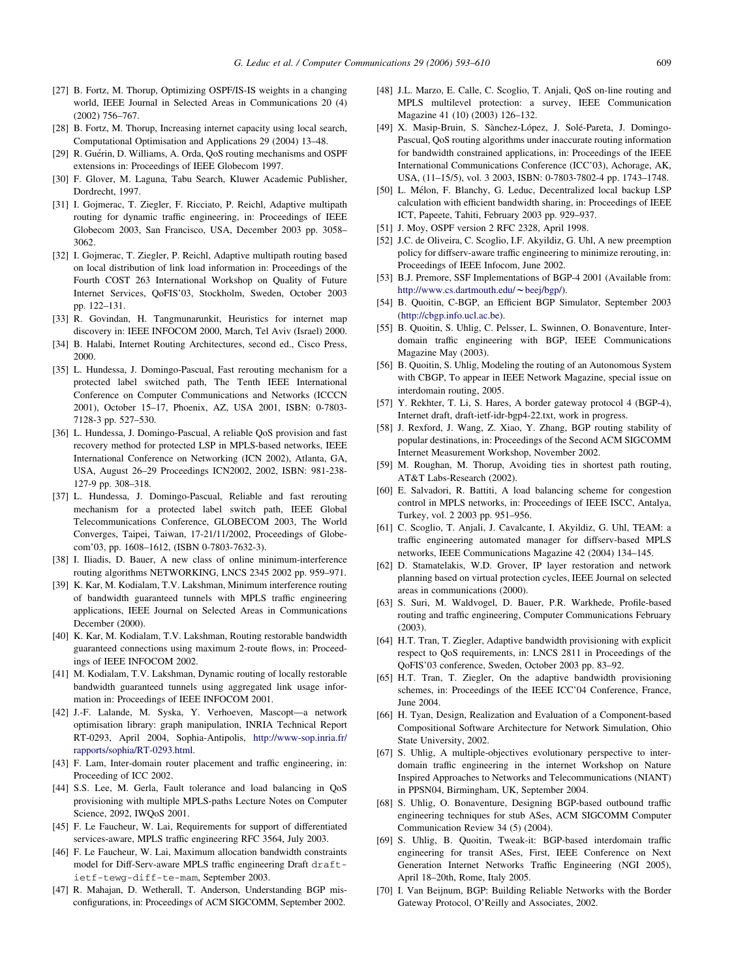- <span id="page-16-0"></span>[27] B. Fortz, M. Thorup, Optimizing OSPF/IS-IS weights in a changing world, IEEE Journal in Selected Areas in Communications 20 (4) (2002) 756–767.
- [28] B. Fortz, M. Thorup, Increasing internet capacity using local search, Computational Optimisation and Applications 29 (2004) 13–48.
- [29] R. Guérin, D. Williams, A. Orda, QoS routing mechanisms and OSPF extensions in: Proceedings of IEEE Globecom 1997.
- [30] F. Glover, M. Laguna, Tabu Search, Kluwer Academic Publisher, Dordrecht, 1997.
- [31] I. Gojmerac, T. Ziegler, F. Ricciato, P. Reichl, Adaptive multipath routing for dynamic traffic engineering, in: Proceedings of IEEE Globecom 2003, San Francisco, USA, December 2003 pp. 3058– 3062.
- [32] I. Gojmerac, T. Ziegler, P. Reichl, Adaptive multipath routing based on local distribution of link load information in: Proceedings of the Fourth COST 263 International Workshop on Quality of Future Internet Services, QoFIS'03, Stockholm, Sweden, October 2003 pp. 122–131.
- [33] R. Govindan, H. Tangmunarunkit, Heuristics for internet map discovery in: IEEE INFOCOM 2000, March, Tel Aviv (Israel) 2000.
- [34] B. Halabi, Internet Routing Architectures, second ed., Cisco Press, 2000.
- [35] L. Hundessa, J. Domingo-Pascual, Fast rerouting mechanism for a protected label switched path, The Tenth IEEE International Conference on Computer Communications and Networks (ICCCN 2001), October 15–17, Phoenix, AZ, USA 2001, ISBN: 0-7803- 7128-3 pp. 527–530.
- [36] L. Hundessa, J. Domingo-Pascual, A reliable QoS provision and fast recovery method for protected LSP in MPLS-based networks, IEEE International Conference on Networking (ICN 2002), Atlanta, GA, USA, August 26–29 Proceedings ICN2002, 2002, ISBN: 981-238- 127-9 pp. 308–318.
- [37] L. Hundessa, J. Domingo-Pascual, Reliable and fast rerouting mechanism for a protected label switch path, IEEE Global Telecommunications Conference, GLOBECOM 2003, The World Converges, Taipei, Taiwan, 17-21/11/2002, Proceedings of Globecom'03, pp. 1608–1612, (ISBN 0-7803-7632-3).
- [38] I. Iliadis, D. Bauer, A new class of online minimum-interference routing algorithms NETWORKING, LNCS 2345 2002 pp. 959–971.
- [39] K. Kar, M. Kodialam, T.V. Lakshman, Minimum interference routing of bandwidth guaranteed tunnels with MPLS traffic engineering applications, IEEE Journal on Selected Areas in Communications December (2000).
- [40] K. Kar, M. Kodialam, T.V. Lakshman, Routing restorable bandwidth guaranteed connections using maximum 2-route flows, in: Proceedings of IEEE INFOCOM 2002.
- [41] M. Kodialam, T.V. Lakshman, Dynamic routing of locally restorable bandwidth guaranteed tunnels using aggregated link usage information in: Proceedings of IEEE INFOCOM 2001.
- [42] J.-F. Lalande, M. Syska, Y. Verhoeven, Mascopt—a network optimisation library: graph manipulation, INRIA Technical Report RT-0293, April 2004, Sophia-Antipolis, [http://www-sop.inria.fr/](http://www.elsevier.com/locate/comcom) [rapports/sophia/RT-0293.html](http://www.elsevier.com/locate/comcom).
- [43] F. Lam, Inter-domain router placement and traffic engineering, in: Proceeding of ICC 2002.
- [44] S.S. Lee, M. Gerla, Fault tolerance and load balancing in QoS provisioning with multiple MPLS-paths Lecture Notes on Computer Science, 2092, IWQoS 2001.
- [45] F. Le Faucheur, W. Lai, Requirements for support of differentiated services-aware, MPLS traffic engineering RFC 3564, July 2003.
- [46] F. Le Faucheur, W. Lai, Maximum allocation bandwidth constraints model for Diff-Serv-aware MPLS traffic engineering Draft draftietf-tewg-diff-te-mam, September 2003.
- [47] R. Mahajan, D. Wetherall, T. Anderson, Understanding BGP misconfigurations, in: Proceedings of ACM SIGCOMM, September 2002.
- [48] J.L. Marzo, E. Calle, C. Scoglio, T. Anjali, QoS on-line routing and MPLS multilevel protection: a survey, IEEE Communication Magazine 41 (10) (2003) 126–132.
- [49] X. Masip-Bruin, S. Sànchez-López, J. Solé-Pareta, J. Domingo-Pascual, QoS routing algorithms under inaccurate routing information for bandwidth constrained applications, in: Proceedings of the IEEE International Communications Conference (ICC'03), Achorage, AK, USA, (11–15/5), vol. 3 2003, ISBN: 0-7803-7802-4 pp. 1743–1748.
- [50] L. Mélon, F. Blanchy, G. Leduc, Decentralized local backup LSP calculation with efficient bandwidth sharing, in: Proceedings of IEEE ICT, Papeete, Tahiti, February 2003 pp. 929–937.
- [51] J. Moy, OSPF version 2 RFC 2328, April 1998.
- [52] J.C. de Oliveira, C. Scoglio, I.F. Akyildiz, G. Uhl, A new preemption policy for diffserv-aware traffic engineering to minimize rerouting, in: Proceedings of IEEE Infocom, June 2002.
- [53] B.J. Premore, SSF Implementations of BGP-4 2001 (Available from: [http://www.cs.dartmouth.edu/](http://www.cs.dartmouth.edu/~beej/bgp/) $\sim$ beej/bgp/).
- [54] B. Quoitin, C-BGP, an Efficient BGP Simulator, September 2003 [\(http://cbgp.info.ucl.ac.be](http://www.cbgp.info.ucl.ac.be)).
- [55] B. Quoitin, S. Uhlig, C. Pelsser, L. Swinnen, O. Bonaventure, Interdomain traffic engineering with BGP, IEEE Communications Magazine May (2003).
- [56] B. Quoitin, S. Uhlig, Modeling the routing of an Autonomous System with CBGP, To appear in IEEE Network Magazine, special issue on interdomain routing, 2005.
- [57] Y. Rekhter, T. Li, S. Hares, A border gateway protocol 4 (BGP-4), Internet draft, draft-ietf-idr-bgp4-22.txt, work in progress.
- [58] J. Rexford, J. Wang, Z. Xiao, Y. Zhang, BGP routing stability of popular destinations, in: Proceedings of the Second ACM SIGCOMM Internet Measurement Workshop, November 2002.
- [59] M. Roughan, M. Thorup, Avoiding ties in shortest path routing, AT&T Labs-Research (2002).
- [60] E. Salvadori, R. Battiti, A load balancing scheme for congestion control in MPLS networks, in: Proceedings of IEEE ISCC, Antalya, Turkey, vol. 2 2003 pp. 951–956.
- [61] C. Scoglio, T. Anjali, J. Cavalcante, I. Akyildiz, G. Uhl, TEAM: a traffic engineering automated manager for diffserv-based MPLS networks, IEEE Communications Magazine 42 (2004) 134–145.
- [62] D. Stamatelakis, W.D. Grover, IP layer restoration and network planning based on virtual protection cycles, IEEE Journal on selected areas in communications (2000).
- [63] S. Suri, M. Waldvogel, D. Bauer, P.R. Warkhede, Profile-based routing and traffic engineering, Computer Communications February (2003).
- [64] H.T. Tran, T. Ziegler, Adaptive bandwidth provisioning with explicit respect to QoS requirements, in: LNCS 2811 in Proceedings of the QoFIS'03 conference, Sweden, October 2003 pp. 83–92.
- [65] H.T. Tran, T. Ziegler, On the adaptive bandwidth provisioning schemes, in: Proceedings of the IEEE ICC'04 Conference, France, June 2004.
- [66] H. Tyan, Design, Realization and Evaluation of a Component-based Compositional Software Architecture for Network Simulation, Ohio State University, 2002.
- [67] S. Uhlig, A multiple-objectives evolutionary perspective to interdomain traffic engineering in the internet Workshop on Nature Inspired Approaches to Networks and Telecommunications (NIANT) in PPSN04, Birmingham, UK, September 2004.
- [68] S. Uhlig, O. Bonaventure, Designing BGP-based outbound traffic engineering techniques for stub ASes, ACM SIGCOMM Computer Communication Review 34 (5) (2004).
- [69] S. Uhlig, B. Quoitin, Tweak-it: BGP-based interdomain traffic engineering for transit ASes, First, IEEE Conference on Next Generation Internet Networks Traffic Engineering (NGI 2005), April 18–20th, Rome, Italy 2005.
- [70] I. Van Beijnum, BGP: Building Reliable Networks with the Border Gateway Protocol, O'Reilly and Associates, 2002.